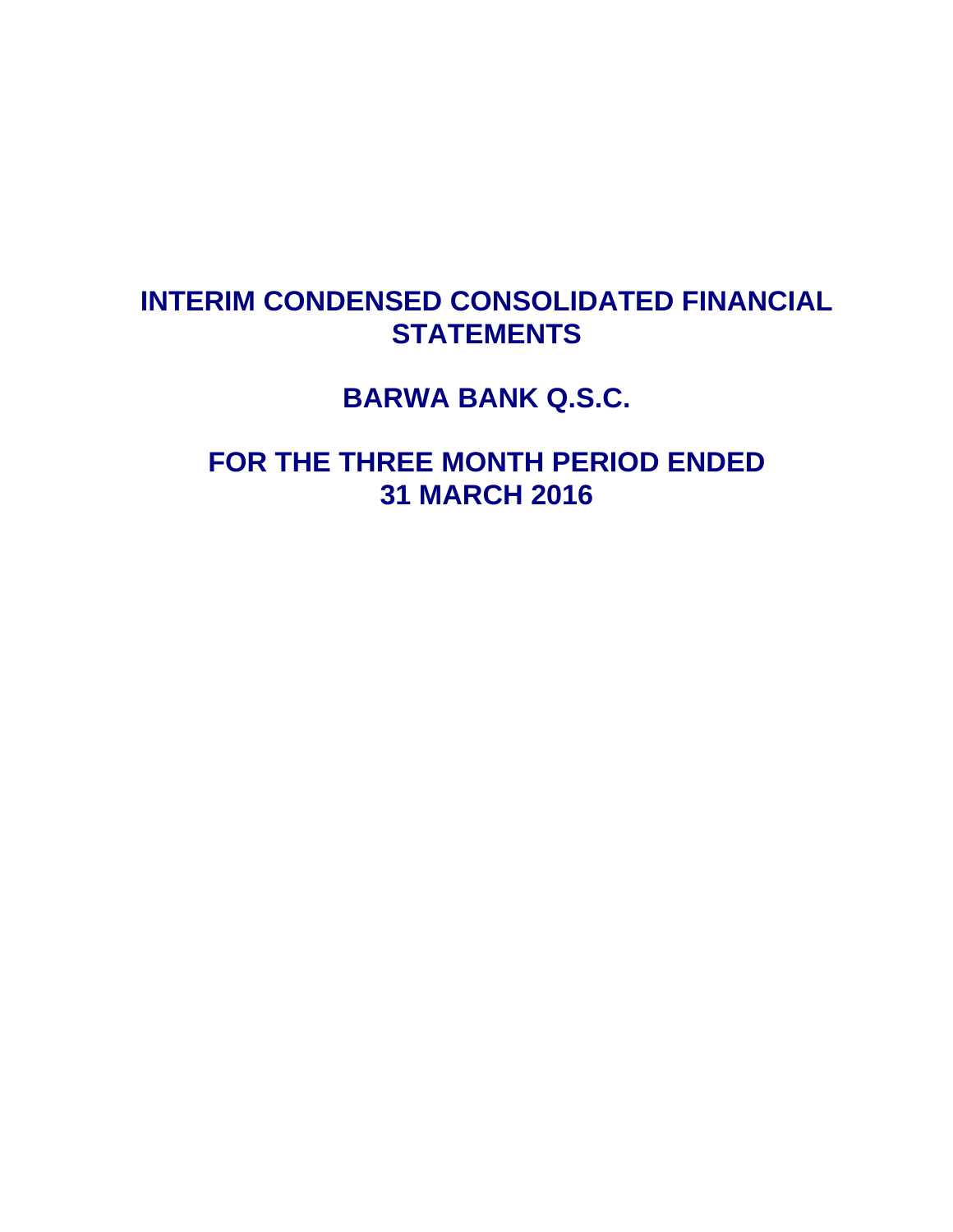# **INTERIM CONDENSED CONSOLIDATED FINANCIAL STATEMENTS**

**BARWA BANK Q.S.C.** 

**FOR THE THREE MONTH PERIOD ENDED 31 MARCH 2016**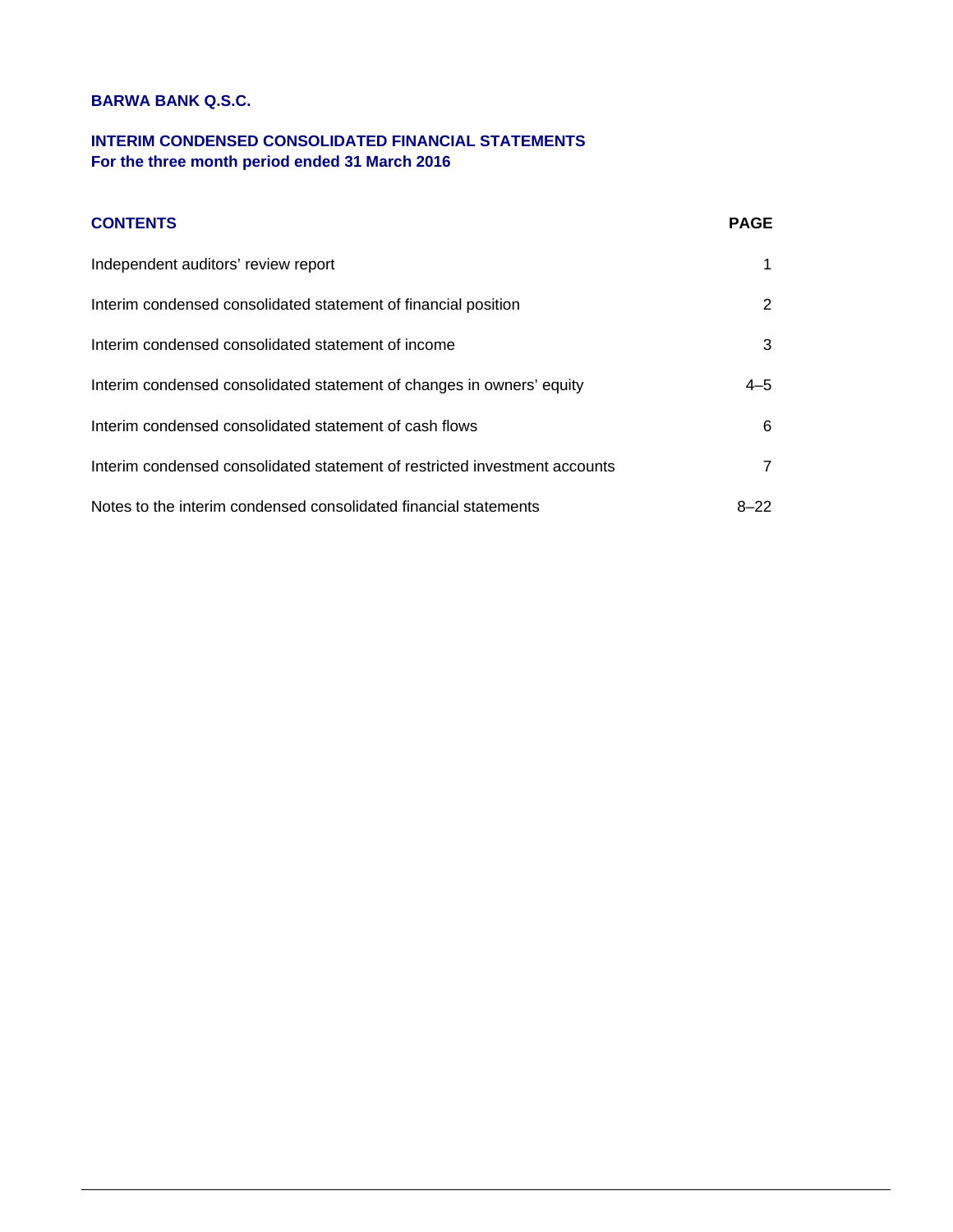### **INTERIM CONDENSED CONSOLIDATED FINANCIAL STATEMENTS For the three month period ended 31 March 2016**

### **CONTENTS** PAGE

| Independent auditors' review report                                        |          |
|----------------------------------------------------------------------------|----------|
| Interim condensed consolidated statement of financial position             | 2        |
| Interim condensed consolidated statement of income                         | 3        |
| Interim condensed consolidated statement of changes in owners' equity      | $4 - 5$  |
| Interim condensed consolidated statement of cash flows                     | 6        |
| Interim condensed consolidated statement of restricted investment accounts |          |
| Notes to the interim condensed consolidated financial statements           | $8 - 22$ |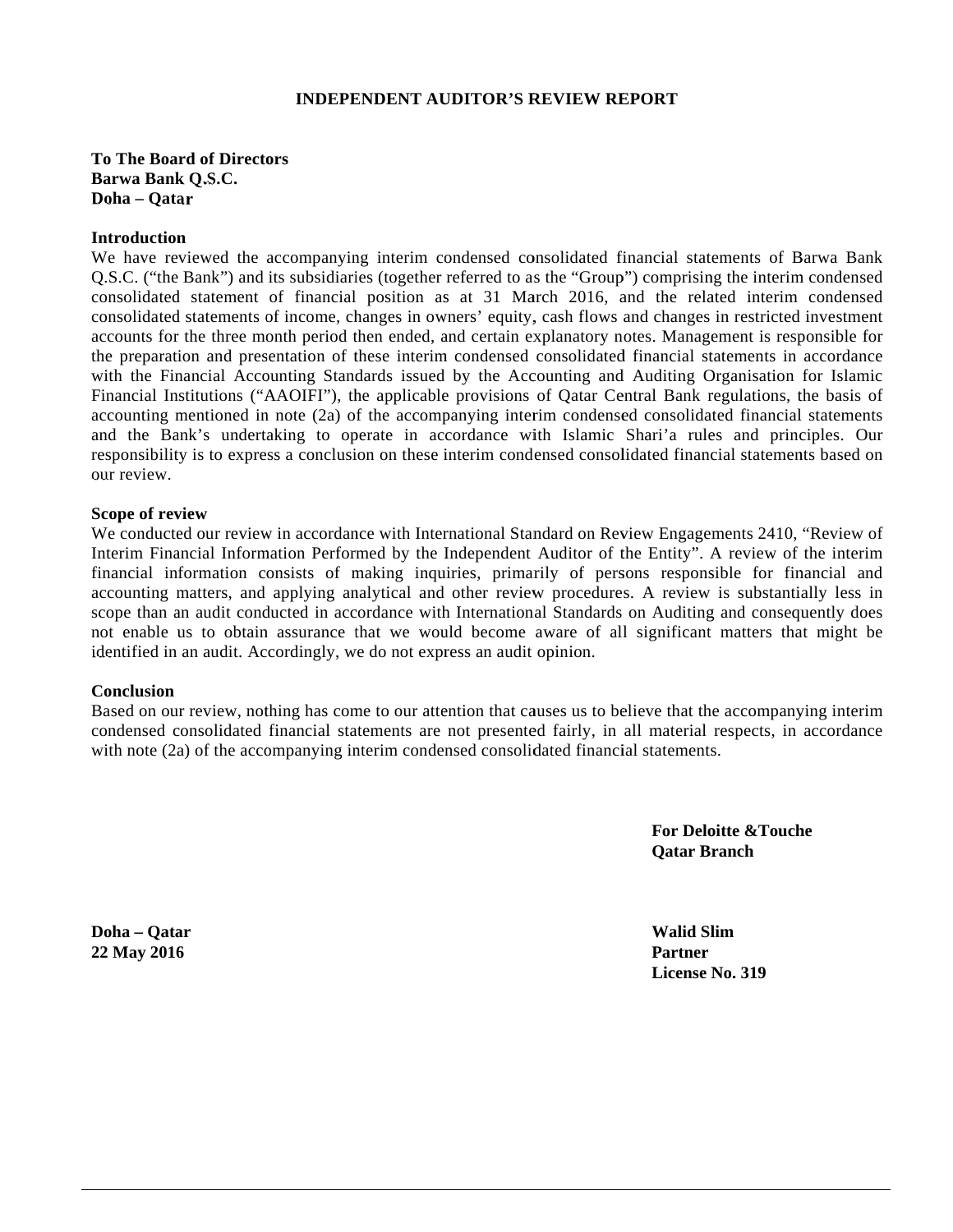### **INDEPENDENT AUDITOR'S REVIEW REPORT**

**To The Board of Directors Barwa Bank k Q.S.C.**  Doha – Qatar

#### **Introduction n**

We have reviewed the accompanying interim condensed consolidated financial statements of Barwa Bank Q.S.C. ("the Bank") and its subsidiaries (together referred to as the "Group") comprising the interim condensed consolidated statement of financial position as at 31 March 2016, and the related interim condensed consolidated statements of income, changes in owners' equity, cash flows and changes in restricted investment accounts for the three month period then ended, and certain explanatory notes. Management is responsible for the preparation and presentation of these interim condensed consolidated financial statements in accordance with the Financial Accounting Standards issued by the Accounting and Auditing Organisation for Islamic Financial Institutions ("AAOIFI"), the applicable provisions of Qatar Central Bank regulations, the basis of accounting mentioned in note (2a) of the accompanying interim condensed consolidated financial statements and the Bank's undertaking to operate in accordance with Islamic Shari'a rules and principles. Our responsibility is to express a conclusion on these interim condensed consolidated financial statements based on our review.

#### **Scope of review**

We conducted our review in accordance with International Standard on Review Engagements 2410, "Review of Interim Financial Information Performed by the Independent Auditor of the Entity". A review of the interim financial information consists of making inquiries, primarily of persons responsible for financial and accounting matters, and applying analytical and other review procedures. A review is substantially less in scope than an audit conducted in accordance with International Standards on Auditing and consequently does not enable us to obtain assurance that we would become aware of all significant matters that might be identified in an audit. Accordingly, we do not express an audit opinion.

#### **Conclusion**

Based on our review, nothing has come to our attention that causes us to believe that the accompanying interim condensed consolidated financial statements are not presented fairly, in all material respects, in accordance with note (2a) of the accompanying interim condensed consolidated financial statements.

> **For Deloitte &Touche Qatar Br ranch**

Doha – Qatar **22 May 2016 6**

**Walid Sl lim Partner**  License No. 319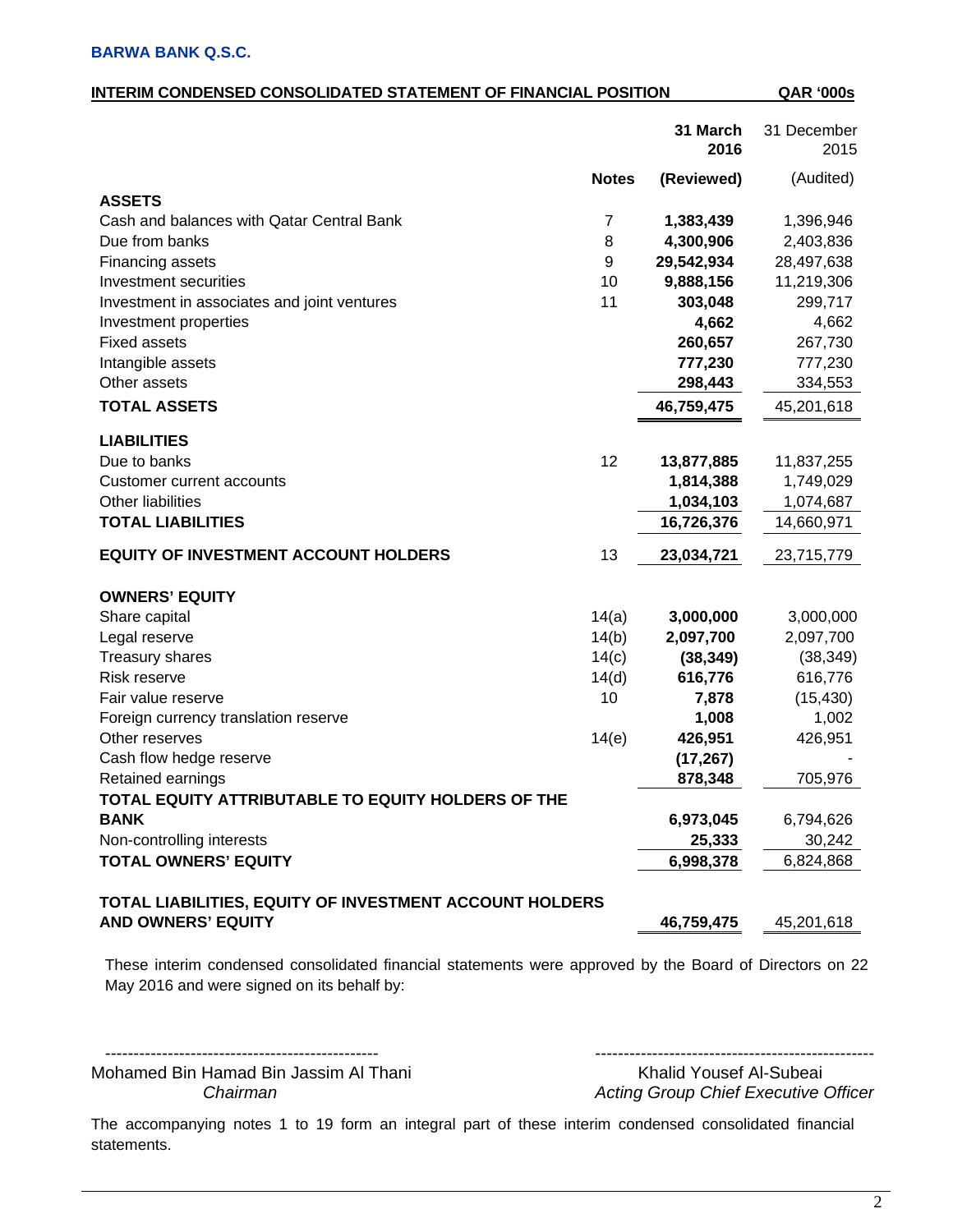| 31 March<br>31 December<br>2016<br>2015<br>(Audited)<br><b>Notes</b><br>(Reviewed)<br><b>ASSETS</b><br>Cash and balances with Qatar Central Bank<br>$\overline{7}$<br>1,396,946<br>1,383,439<br>Due from banks<br>8<br>4,300,906<br>2,403,836<br>Financing assets<br>9<br>29,542,934<br>28,497,638<br>Investment securities<br>10<br>9,888,156<br>11,219,306<br>11<br>303,048<br>299,717<br>Investment in associates and joint ventures<br>4,662<br>4,662<br>Investment properties<br><b>Fixed assets</b><br>260,657<br>267,730<br>Intangible assets<br>777,230<br>777,230<br>Other assets<br>298,443<br>334,553<br><b>TOTAL ASSETS</b><br>46,759,475<br>45,201,618<br><b>LIABILITIES</b><br>12<br>Due to banks<br>13,877,885<br>11,837,255<br><b>Customer current accounts</b><br>1,814,388<br>1,749,029<br>Other liabilities<br>1,034,103<br>1,074,687<br><b>TOTAL LIABILITIES</b><br>16,726,376<br>14,660,971<br>13<br><b>EQUITY OF INVESTMENT ACCOUNT HOLDERS</b><br>23,715,779<br>23,034,721<br><b>OWNERS' EQUITY</b><br>Share capital<br>14(a)<br>3,000,000<br>3,000,000<br>14(b)<br>2,097,700<br>Legal reserve<br>2,097,700<br><b>Treasury shares</b><br>14(c)<br>(38, 349)<br>(38, 349)<br>Risk reserve<br>14(d)<br>616,776<br>616,776<br>Fair value reserve<br>10<br>(15, 430)<br>7,878<br>1,002<br>1,008<br>Foreign currency translation reserve<br>14(e)<br>Other reserves<br>426,951<br>426,951<br>Cash flow hedge reserve<br>(17, 267)<br>878,348<br>705,976<br>Retained earnings | <u>INTERIM CONDENSED CONSOLIDATED STATEMENT OF FINANCIAL POSITION</u> |  | <b>QAR '000s</b> |
|------------------------------------------------------------------------------------------------------------------------------------------------------------------------------------------------------------------------------------------------------------------------------------------------------------------------------------------------------------------------------------------------------------------------------------------------------------------------------------------------------------------------------------------------------------------------------------------------------------------------------------------------------------------------------------------------------------------------------------------------------------------------------------------------------------------------------------------------------------------------------------------------------------------------------------------------------------------------------------------------------------------------------------------------------------------------------------------------------------------------------------------------------------------------------------------------------------------------------------------------------------------------------------------------------------------------------------------------------------------------------------------------------------------------------------------------------------------------------------------------|-----------------------------------------------------------------------|--|------------------|
|                                                                                                                                                                                                                                                                                                                                                                                                                                                                                                                                                                                                                                                                                                                                                                                                                                                                                                                                                                                                                                                                                                                                                                                                                                                                                                                                                                                                                                                                                                |                                                                       |  |                  |
|                                                                                                                                                                                                                                                                                                                                                                                                                                                                                                                                                                                                                                                                                                                                                                                                                                                                                                                                                                                                                                                                                                                                                                                                                                                                                                                                                                                                                                                                                                |                                                                       |  |                  |
|                                                                                                                                                                                                                                                                                                                                                                                                                                                                                                                                                                                                                                                                                                                                                                                                                                                                                                                                                                                                                                                                                                                                                                                                                                                                                                                                                                                                                                                                                                |                                                                       |  |                  |
|                                                                                                                                                                                                                                                                                                                                                                                                                                                                                                                                                                                                                                                                                                                                                                                                                                                                                                                                                                                                                                                                                                                                                                                                                                                                                                                                                                                                                                                                                                |                                                                       |  |                  |
|                                                                                                                                                                                                                                                                                                                                                                                                                                                                                                                                                                                                                                                                                                                                                                                                                                                                                                                                                                                                                                                                                                                                                                                                                                                                                                                                                                                                                                                                                                |                                                                       |  |                  |
|                                                                                                                                                                                                                                                                                                                                                                                                                                                                                                                                                                                                                                                                                                                                                                                                                                                                                                                                                                                                                                                                                                                                                                                                                                                                                                                                                                                                                                                                                                |                                                                       |  |                  |
|                                                                                                                                                                                                                                                                                                                                                                                                                                                                                                                                                                                                                                                                                                                                                                                                                                                                                                                                                                                                                                                                                                                                                                                                                                                                                                                                                                                                                                                                                                |                                                                       |  |                  |
|                                                                                                                                                                                                                                                                                                                                                                                                                                                                                                                                                                                                                                                                                                                                                                                                                                                                                                                                                                                                                                                                                                                                                                                                                                                                                                                                                                                                                                                                                                |                                                                       |  |                  |
|                                                                                                                                                                                                                                                                                                                                                                                                                                                                                                                                                                                                                                                                                                                                                                                                                                                                                                                                                                                                                                                                                                                                                                                                                                                                                                                                                                                                                                                                                                |                                                                       |  |                  |
|                                                                                                                                                                                                                                                                                                                                                                                                                                                                                                                                                                                                                                                                                                                                                                                                                                                                                                                                                                                                                                                                                                                                                                                                                                                                                                                                                                                                                                                                                                |                                                                       |  |                  |
|                                                                                                                                                                                                                                                                                                                                                                                                                                                                                                                                                                                                                                                                                                                                                                                                                                                                                                                                                                                                                                                                                                                                                                                                                                                                                                                                                                                                                                                                                                |                                                                       |  |                  |
|                                                                                                                                                                                                                                                                                                                                                                                                                                                                                                                                                                                                                                                                                                                                                                                                                                                                                                                                                                                                                                                                                                                                                                                                                                                                                                                                                                                                                                                                                                |                                                                       |  |                  |
|                                                                                                                                                                                                                                                                                                                                                                                                                                                                                                                                                                                                                                                                                                                                                                                                                                                                                                                                                                                                                                                                                                                                                                                                                                                                                                                                                                                                                                                                                                |                                                                       |  |                  |
|                                                                                                                                                                                                                                                                                                                                                                                                                                                                                                                                                                                                                                                                                                                                                                                                                                                                                                                                                                                                                                                                                                                                                                                                                                                                                                                                                                                                                                                                                                |                                                                       |  |                  |
|                                                                                                                                                                                                                                                                                                                                                                                                                                                                                                                                                                                                                                                                                                                                                                                                                                                                                                                                                                                                                                                                                                                                                                                                                                                                                                                                                                                                                                                                                                |                                                                       |  |                  |
|                                                                                                                                                                                                                                                                                                                                                                                                                                                                                                                                                                                                                                                                                                                                                                                                                                                                                                                                                                                                                                                                                                                                                                                                                                                                                                                                                                                                                                                                                                |                                                                       |  |                  |
|                                                                                                                                                                                                                                                                                                                                                                                                                                                                                                                                                                                                                                                                                                                                                                                                                                                                                                                                                                                                                                                                                                                                                                                                                                                                                                                                                                                                                                                                                                |                                                                       |  |                  |
|                                                                                                                                                                                                                                                                                                                                                                                                                                                                                                                                                                                                                                                                                                                                                                                                                                                                                                                                                                                                                                                                                                                                                                                                                                                                                                                                                                                                                                                                                                |                                                                       |  |                  |
|                                                                                                                                                                                                                                                                                                                                                                                                                                                                                                                                                                                                                                                                                                                                                                                                                                                                                                                                                                                                                                                                                                                                                                                                                                                                                                                                                                                                                                                                                                |                                                                       |  |                  |
|                                                                                                                                                                                                                                                                                                                                                                                                                                                                                                                                                                                                                                                                                                                                                                                                                                                                                                                                                                                                                                                                                                                                                                                                                                                                                                                                                                                                                                                                                                |                                                                       |  |                  |
|                                                                                                                                                                                                                                                                                                                                                                                                                                                                                                                                                                                                                                                                                                                                                                                                                                                                                                                                                                                                                                                                                                                                                                                                                                                                                                                                                                                                                                                                                                |                                                                       |  |                  |
|                                                                                                                                                                                                                                                                                                                                                                                                                                                                                                                                                                                                                                                                                                                                                                                                                                                                                                                                                                                                                                                                                                                                                                                                                                                                                                                                                                                                                                                                                                |                                                                       |  |                  |
|                                                                                                                                                                                                                                                                                                                                                                                                                                                                                                                                                                                                                                                                                                                                                                                                                                                                                                                                                                                                                                                                                                                                                                                                                                                                                                                                                                                                                                                                                                |                                                                       |  |                  |
|                                                                                                                                                                                                                                                                                                                                                                                                                                                                                                                                                                                                                                                                                                                                                                                                                                                                                                                                                                                                                                                                                                                                                                                                                                                                                                                                                                                                                                                                                                |                                                                       |  |                  |
|                                                                                                                                                                                                                                                                                                                                                                                                                                                                                                                                                                                                                                                                                                                                                                                                                                                                                                                                                                                                                                                                                                                                                                                                                                                                                                                                                                                                                                                                                                |                                                                       |  |                  |
|                                                                                                                                                                                                                                                                                                                                                                                                                                                                                                                                                                                                                                                                                                                                                                                                                                                                                                                                                                                                                                                                                                                                                                                                                                                                                                                                                                                                                                                                                                |                                                                       |  |                  |
|                                                                                                                                                                                                                                                                                                                                                                                                                                                                                                                                                                                                                                                                                                                                                                                                                                                                                                                                                                                                                                                                                                                                                                                                                                                                                                                                                                                                                                                                                                |                                                                       |  |                  |
|                                                                                                                                                                                                                                                                                                                                                                                                                                                                                                                                                                                                                                                                                                                                                                                                                                                                                                                                                                                                                                                                                                                                                                                                                                                                                                                                                                                                                                                                                                |                                                                       |  |                  |
|                                                                                                                                                                                                                                                                                                                                                                                                                                                                                                                                                                                                                                                                                                                                                                                                                                                                                                                                                                                                                                                                                                                                                                                                                                                                                                                                                                                                                                                                                                |                                                                       |  |                  |
|                                                                                                                                                                                                                                                                                                                                                                                                                                                                                                                                                                                                                                                                                                                                                                                                                                                                                                                                                                                                                                                                                                                                                                                                                                                                                                                                                                                                                                                                                                | TOTAL EQUITY ATTRIBUTABLE TO EQUITY HOLDERS OF THE                    |  |                  |
| 6,973,045<br>6,794,626<br><b>BANK</b>                                                                                                                                                                                                                                                                                                                                                                                                                                                                                                                                                                                                                                                                                                                                                                                                                                                                                                                                                                                                                                                                                                                                                                                                                                                                                                                                                                                                                                                          |                                                                       |  |                  |
| Non-controlling interests<br>30,242<br>25,333                                                                                                                                                                                                                                                                                                                                                                                                                                                                                                                                                                                                                                                                                                                                                                                                                                                                                                                                                                                                                                                                                                                                                                                                                                                                                                                                                                                                                                                  |                                                                       |  |                  |
| <b>TOTAL OWNERS' EQUITY</b><br>6,824,868<br>6,998,378                                                                                                                                                                                                                                                                                                                                                                                                                                                                                                                                                                                                                                                                                                                                                                                                                                                                                                                                                                                                                                                                                                                                                                                                                                                                                                                                                                                                                                          |                                                                       |  |                  |
|                                                                                                                                                                                                                                                                                                                                                                                                                                                                                                                                                                                                                                                                                                                                                                                                                                                                                                                                                                                                                                                                                                                                                                                                                                                                                                                                                                                                                                                                                                |                                                                       |  |                  |
| TOTAL LIABILITIES, EQUITY OF INVESTMENT ACCOUNT HOLDERS<br><b>AND OWNERS' EQUITY</b><br>46,759,475<br>45,201,618                                                                                                                                                                                                                                                                                                                                                                                                                                                                                                                                                                                                                                                                                                                                                                                                                                                                                                                                                                                                                                                                                                                                                                                                                                                                                                                                                                               |                                                                       |  |                  |

These interim condensed consolidated financial statements were approved by the Board of Directors on 22 May 2016 and were signed on its behalf by:

------------------------------------------------ ------------------------------------------------- Mohamed Bin Hamad Bin Jassim Al Thani Khalid Yousef Al-Subeai

*Chairman Acting Group Chief Executive Officer*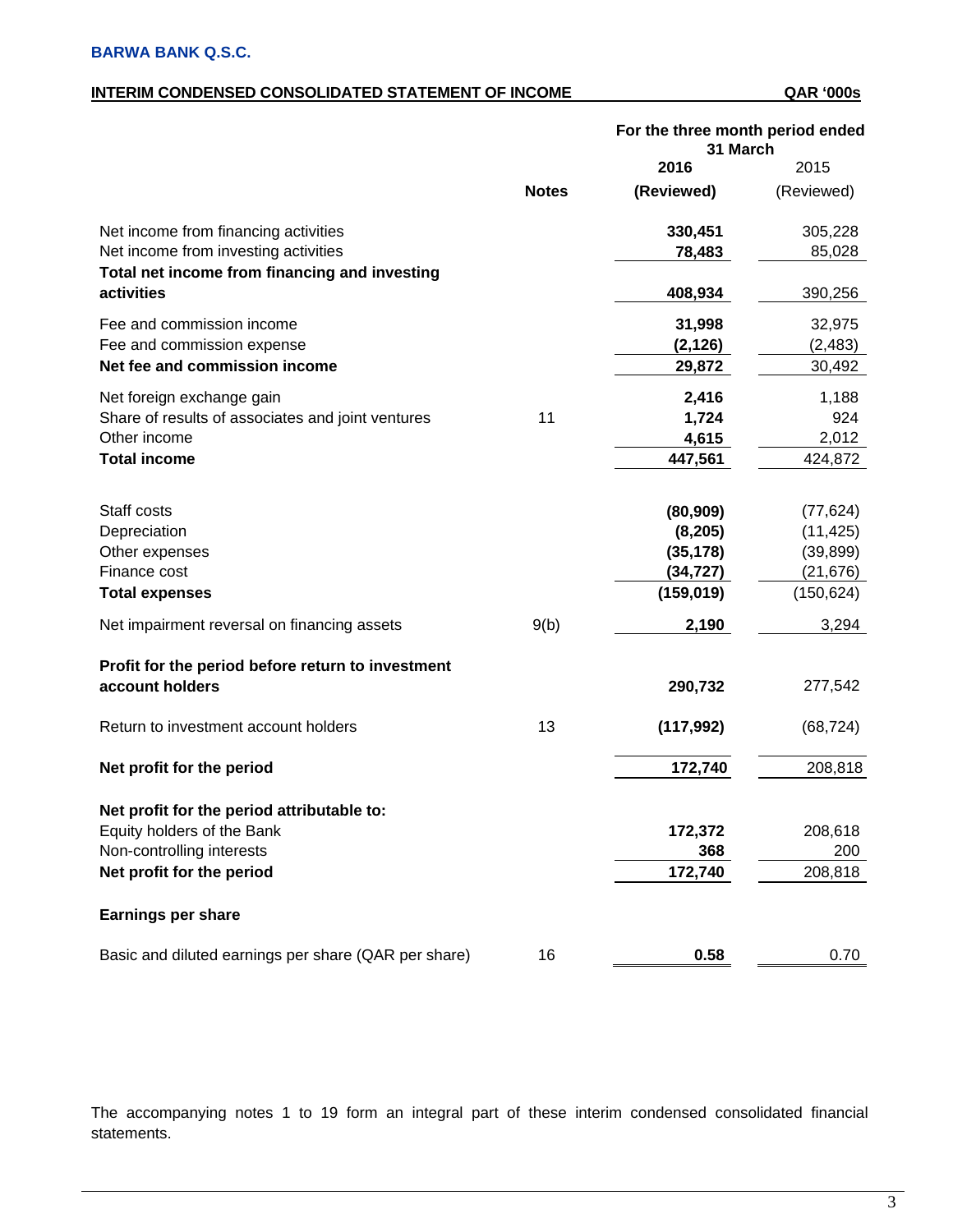### **INTERIM CONDENSED CONSOLIDATED STATEMENT OF INCOME QAR '000s**

|                                                      |              | For the three month period ended<br>31 March |            |
|------------------------------------------------------|--------------|----------------------------------------------|------------|
|                                                      |              | 2016                                         | 2015       |
|                                                      | <b>Notes</b> | (Reviewed)                                   | (Reviewed) |
| Net income from financing activities                 |              | 330,451                                      | 305,228    |
| Net income from investing activities                 |              | 78,483                                       | 85,028     |
| Total net income from financing and investing        |              |                                              |            |
| activities                                           |              | 408,934                                      | 390,256    |
| Fee and commission income                            |              | 31,998                                       | 32,975     |
| Fee and commission expense                           |              | (2, 126)                                     | (2, 483)   |
| Net fee and commission income                        |              | 29,872                                       | 30,492     |
| Net foreign exchange gain                            |              | 2,416                                        | 1,188      |
| Share of results of associates and joint ventures    | 11           | 1,724                                        | 924        |
| Other income                                         |              | 4,615                                        | 2,012      |
| <b>Total income</b>                                  |              | 447,561                                      | 424,872    |
|                                                      |              |                                              |            |
| Staff costs                                          |              | (80, 909)                                    | (77, 624)  |
| Depreciation                                         |              | (8, 205)                                     | (11, 425)  |
| Other expenses                                       |              | (35, 178)                                    | (39, 899)  |
| Finance cost                                         |              | (34,727)                                     | (21, 676)  |
| <b>Total expenses</b>                                |              | (159, 019)                                   | (150, 624) |
| Net impairment reversal on financing assets          | 9(b)         | 2,190                                        | 3,294      |
| Profit for the period before return to investment    |              |                                              |            |
| account holders                                      |              | 290,732                                      | 277,542    |
| Return to investment account holders                 | 13           | (117, 992)                                   | (68, 724)  |
| Net profit for the period                            |              | 172,740                                      | 208,818    |
| Net profit for the period attributable to:           |              |                                              |            |
| Equity holders of the Bank                           |              | 172,372                                      | 208,618    |
| Non-controlling interests                            |              | 368                                          | 200        |
| Net profit for the period                            |              | 172,740                                      | 208,818    |
| <b>Earnings per share</b>                            |              |                                              |            |
| Basic and diluted earnings per share (QAR per share) | 16           | 0.58                                         | 0.70       |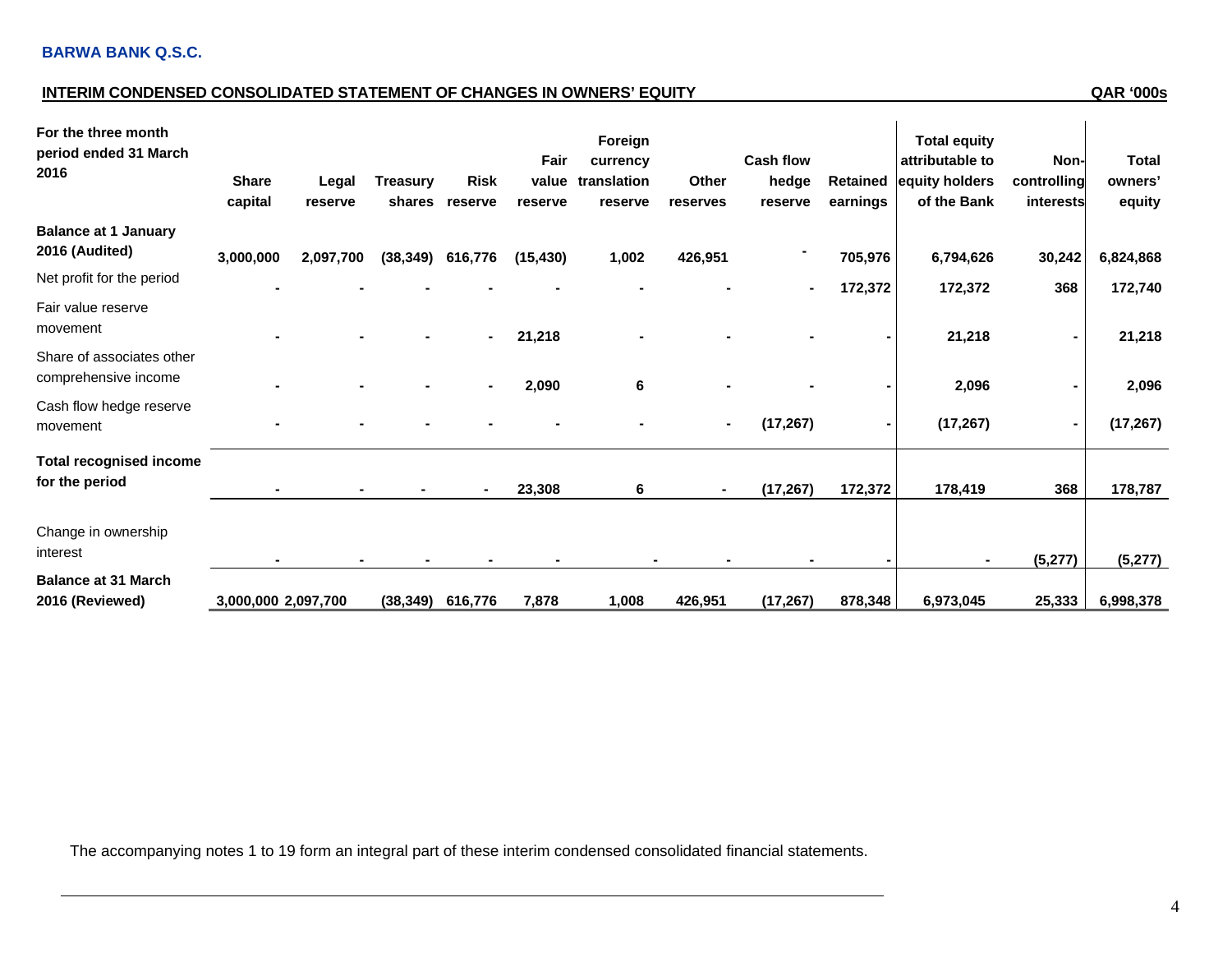### **INTERIM CONDENSED CONSOLIDATED STATEMENT OF CHANGES IN OWNERS' EQUITY QAR '000s**

| For the three month<br>period ended 31 March<br>2016 | <b>Share</b><br>capital | Legal<br>reserve | <b>Treasury</b><br>shares | <b>Risk</b><br>reserve | Fair<br>value<br>reserve | Foreign<br>currency<br>translation<br>reserve | Other<br>reserves | <b>Cash flow</b><br>hedge<br>reserve | <b>Retained</b><br>earnings | <b>Total equity</b><br>attributable to<br>equity holders<br>of the Bank | Non-<br>controlling<br>interests | <b>Total</b><br>owners'<br>equity |
|------------------------------------------------------|-------------------------|------------------|---------------------------|------------------------|--------------------------|-----------------------------------------------|-------------------|--------------------------------------|-----------------------------|-------------------------------------------------------------------------|----------------------------------|-----------------------------------|
| <b>Balance at 1 January</b><br>2016 (Audited)        | 3,000,000               | 2,097,700        |                           | $(38,349)$ 616,776     | (15, 430)                | 1,002                                         | 426,951           |                                      | 705,976                     | 6,794,626                                                               | 30,242                           | 6,824,868                         |
| Net profit for the period                            |                         |                  |                           |                        |                          |                                               |                   |                                      | 172,372                     | 172,372                                                                 | 368                              | 172,740                           |
| Fair value reserve<br>movement                       |                         |                  |                           |                        | 21,218                   |                                               |                   |                                      |                             | 21,218                                                                  | $\blacksquare$                   | 21,218                            |
| Share of associates other<br>comprehensive income    |                         |                  |                           |                        | 2,090                    | 6                                             |                   |                                      |                             | 2,096                                                                   |                                  | 2,096                             |
| Cash flow hedge reserve<br>movement                  |                         |                  |                           |                        |                          |                                               |                   | (17, 267)                            |                             | (17, 267)                                                               |                                  | (17, 267)                         |
| <b>Total recognised income</b><br>for the period     |                         |                  |                           |                        | 23,308                   | 6                                             | $\blacksquare$    | (17, 267)                            | 172,372                     | 178,419                                                                 | 368                              | 178,787                           |
| Change in ownership<br>interest                      |                         |                  |                           |                        |                          |                                               |                   |                                      |                             |                                                                         | (5, 277)                         | (5, 277)                          |
| <b>Balance at 31 March</b><br>2016 (Reviewed)        | 3,000,000 2,097,700     |                  | (38, 349)                 | 616,776                | 7,878                    | 1,008                                         | 426,951           | (17, 267)                            | 878,348                     | 6,973,045                                                               | 25,333                           | 6,998,378                         |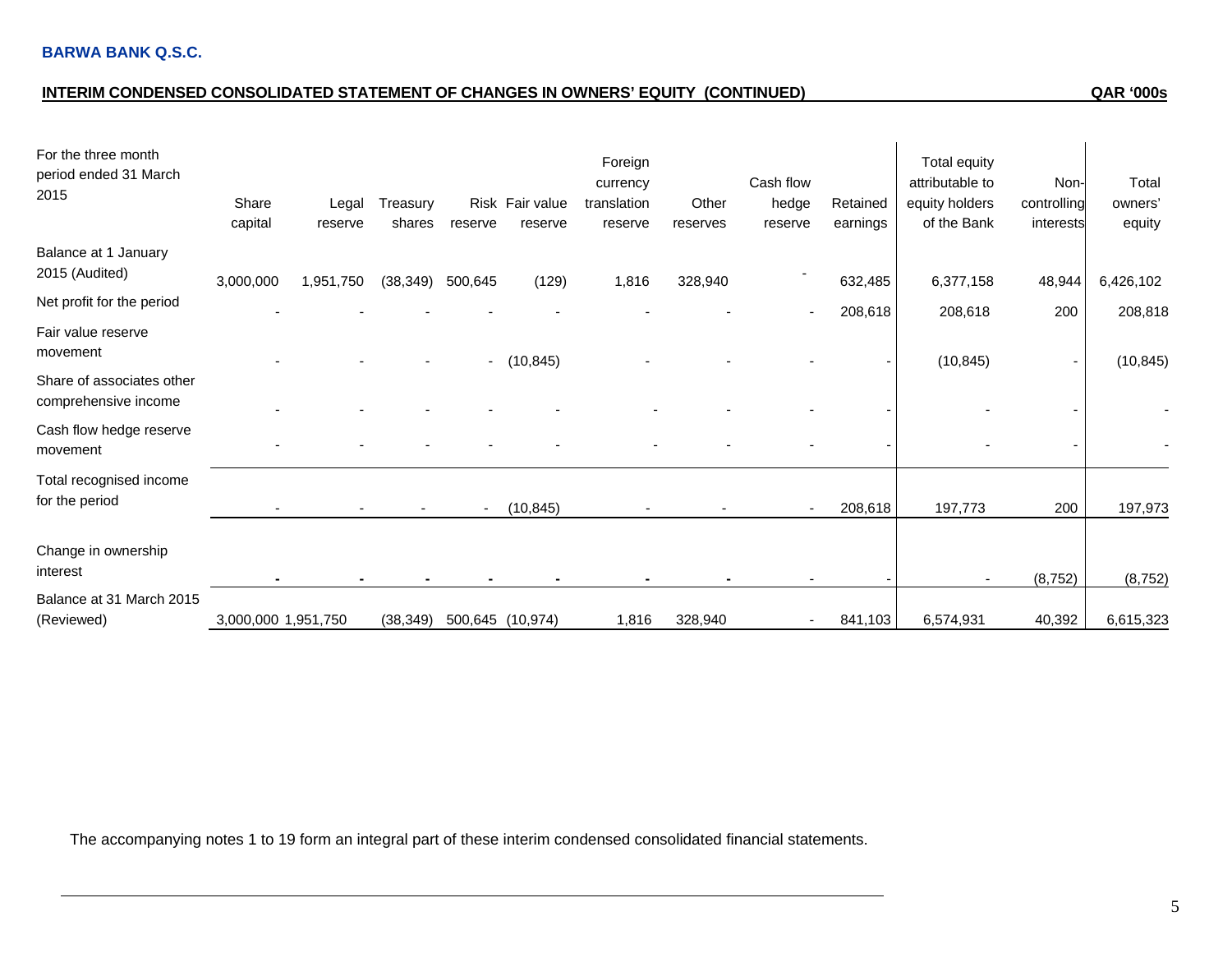## **INTERIM CONDENSED CONSOLIDATED STATEMENT OF CHANGES IN OWNERS' EQUITY (CONTINUED) QAR '000s**

| For the three month<br>period ended 31 March<br>2015 | Share<br>capital    | Legal<br>reserve | Treasury<br>shares | reserve                  | Risk Fair value<br>reserve | Foreign<br>currency<br>translation<br>reserve | Other<br>reserves | Cash flow<br>hedge<br>reserve | Retained<br>earnings | Total equity<br>attributable to<br>equity holders<br>of the Bank | Non-<br>controlling<br>interests | Total<br>owners'<br>equity |
|------------------------------------------------------|---------------------|------------------|--------------------|--------------------------|----------------------------|-----------------------------------------------|-------------------|-------------------------------|----------------------|------------------------------------------------------------------|----------------------------------|----------------------------|
| Balance at 1 January<br>2015 (Audited)               | 3,000,000           | 1,951,750        | (38, 349)          | 500,645                  | (129)                      | 1,816                                         | 328,940           |                               | 632,485              | 6,377,158                                                        | 48,944                           | 6,426,102                  |
| Net profit for the period                            |                     |                  |                    |                          |                            |                                               |                   |                               | 208,618              | 208,618                                                          | 200                              | 208,818                    |
| Fair value reserve<br>movement                       |                     |                  |                    |                          |                            |                                               |                   |                               |                      |                                                                  |                                  |                            |
| Share of associates other<br>comprehensive income    |                     |                  |                    | $\sim$                   | (10, 845)                  |                                               |                   |                               |                      | (10, 845)                                                        |                                  | (10, 845)                  |
| Cash flow hedge reserve<br>movement                  |                     |                  |                    |                          |                            |                                               |                   |                               |                      |                                                                  |                                  |                            |
| Total recognised income<br>for the period            |                     |                  |                    | $\overline{\phantom{a}}$ | (10, 845)                  |                                               |                   | $\blacksquare$                | 208,618              | 197,773                                                          | 200                              | 197,973                    |
| Change in ownership<br>interest                      |                     |                  |                    |                          |                            |                                               |                   |                               |                      |                                                                  | (8, 752)                         | (8, 752)                   |
| Balance at 31 March 2015<br>(Reviewed)               | 3,000,000 1,951,750 |                  | (38, 349)          |                          | 500,645 (10,974)           | 1,816                                         | 328,940           |                               | 841,103              | 6,574,931                                                        | 40,392                           | 6,615,323                  |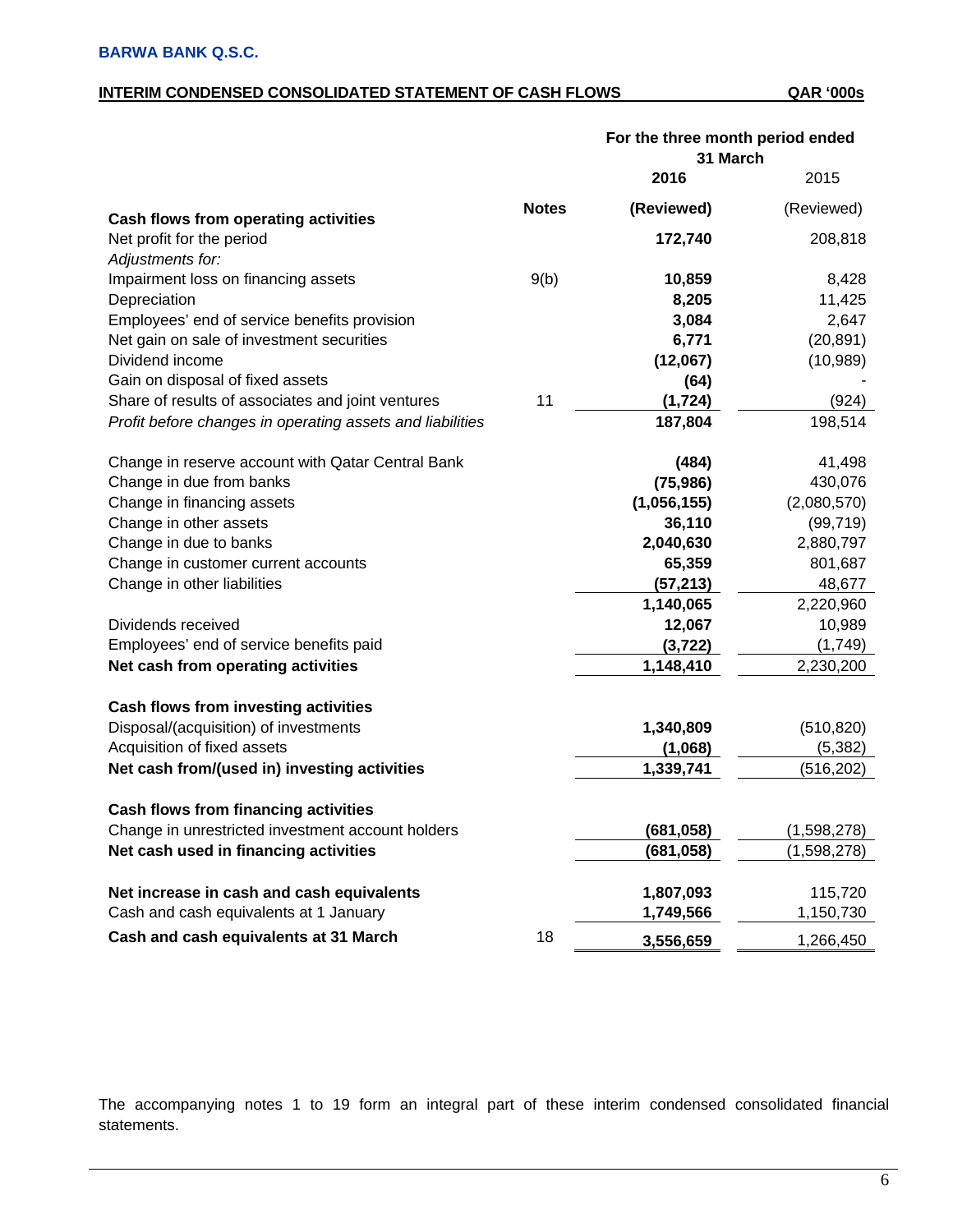### **INTERIM CONDENSED CONSOLIDATED STATEMENT OF CASH FLOWS QAR '000s**

|                                                           |              | For the three month period ended<br>31 March |             |
|-----------------------------------------------------------|--------------|----------------------------------------------|-------------|
|                                                           |              | 2016                                         | 2015        |
| Cash flows from operating activities                      | <b>Notes</b> | (Reviewed)                                   | (Reviewed)  |
| Net profit for the period                                 |              | 172,740                                      | 208,818     |
| Adjustments for:                                          |              |                                              |             |
| Impairment loss on financing assets                       | 9(b)         | 10,859                                       | 8,428       |
| Depreciation                                              |              | 8,205                                        | 11,425      |
| Employees' end of service benefits provision              |              | 3,084                                        | 2,647       |
| Net gain on sale of investment securities                 |              | 6,771                                        | (20, 891)   |
| Dividend income                                           |              | (12,067)                                     | (10, 989)   |
| Gain on disposal of fixed assets                          |              | (64)                                         |             |
| Share of results of associates and joint ventures         | 11           | (1, 724)                                     | (924)       |
| Profit before changes in operating assets and liabilities |              | 187,804                                      | 198,514     |
| Change in reserve account with Qatar Central Bank         |              | (484)                                        | 41,498      |
| Change in due from banks                                  |              | (75, 986)                                    | 430,076     |
| Change in financing assets                                |              | (1,056,155)                                  | (2,080,570) |
| Change in other assets                                    |              | 36,110                                       | (99, 719)   |
| Change in due to banks                                    |              | 2,040,630                                    | 2,880,797   |
| Change in customer current accounts                       |              | 65,359                                       | 801,687     |
| Change in other liabilities                               |              | (57, 213)                                    | 48,677      |
|                                                           |              | 1,140,065                                    | 2,220,960   |
| Dividends received                                        |              | 12,067                                       | 10,989      |
| Employees' end of service benefits paid                   |              | (3, 722)                                     | (1,749)     |
| Net cash from operating activities                        |              | 1,148,410                                    | 2,230,200   |
| <b>Cash flows from investing activities</b>               |              |                                              |             |
| Disposal/(acquisition) of investments                     |              | 1,340,809                                    | (510, 820)  |
| Acquisition of fixed assets                               |              | (1,068)                                      | (5, 382)    |
| Net cash from/(used in) investing activities              |              | 1,339,741                                    | (516, 202)  |
| Cash flows from financing activities                      |              |                                              |             |
| Change in unrestricted investment account holders         |              | (681, 058)                                   | (1,598,278) |
| Net cash used in financing activities                     |              | (681, 058)                                   | (1,598,278) |
| Net increase in cash and cash equivalents                 |              | 1,807,093                                    | 115,720     |
| Cash and cash equivalents at 1 January                    |              | 1,749,566                                    | 1,150,730   |
| Cash and cash equivalents at 31 March                     | 18           | 3,556,659                                    | 1,266,450   |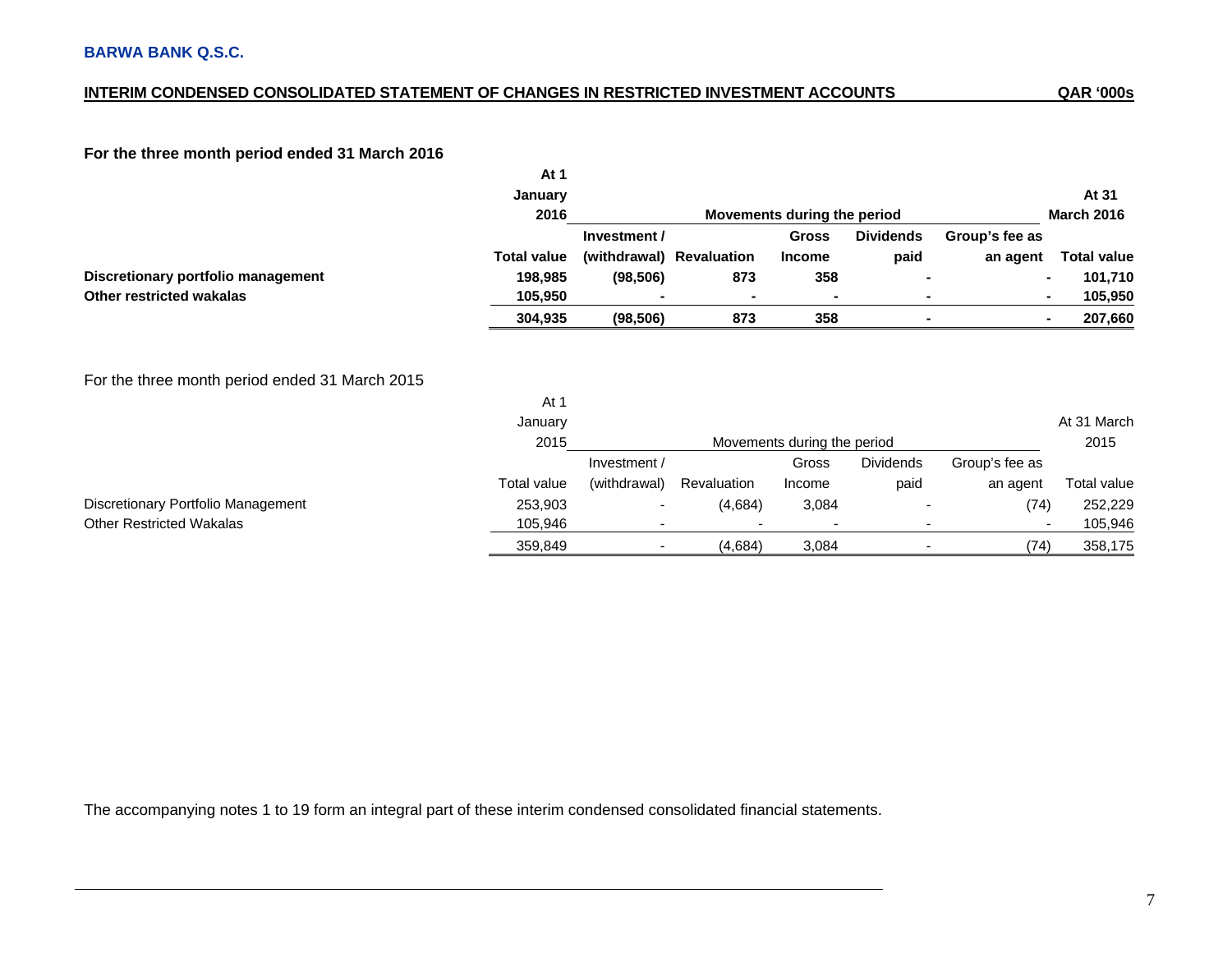### **INTERIM CONDENSED CONSOLIDATED STATEMENT OF CHANGES IN RESTRICTED INVESTMENT ACCOUNTS**

### **For the three month period ended 31 March 2016**

|                                                | At 1<br>January           |              |                          |                             |                          |                | At 31                     |
|------------------------------------------------|---------------------------|--------------|--------------------------|-----------------------------|--------------------------|----------------|---------------------------|
|                                                | 2016                      |              |                          | Movements during the period |                          |                | <b>March 2016</b>         |
|                                                |                           | Investment / |                          | <b>Gross</b>                | <b>Dividends</b>         | Group's fee as |                           |
|                                                | <b>Total value</b>        |              | (withdrawal) Revaluation | <b>Income</b>               | paid                     | an agent       | <b>Total value</b>        |
| Discretionary portfolio management             | 198,985                   | (98, 506)    | 873                      | 358                         |                          |                | 101,710<br>$\blacksquare$ |
| <b>Other restricted wakalas</b>                | 105,950                   |              |                          | $\blacksquare$              | ۰                        |                | 105,950<br>$\blacksquare$ |
|                                                | 304,935                   | (98, 506)    | 873                      | 358                         |                          |                | 207,660<br>$\blacksquare$ |
| For the three month period ended 31 March 2015 | At $1$<br>January<br>2015 |              |                          | Movements during the period |                          |                | At 31 March<br>2015       |
|                                                |                           | Investment / |                          | Gross                       | <b>Dividends</b>         | Group's fee as |                           |
|                                                | Total value               | (withdrawal) | Revaluation              | Income                      | paid                     | an agent       | Total value               |
| Discretionary Portfolio Management             | 253,903                   | -            | (4,684)                  | 3,084                       |                          | (74)           | 252,229                   |
| <b>Other Restricted Wakalas</b>                | 105,946                   | -            |                          | $\overline{\phantom{a}}$    | $\overline{\phantom{a}}$ |                | 105,946<br>$\blacksquare$ |
|                                                | 359,849                   | ٠            | (4,684)                  | 3,084                       |                          | (74)           | 358,175                   |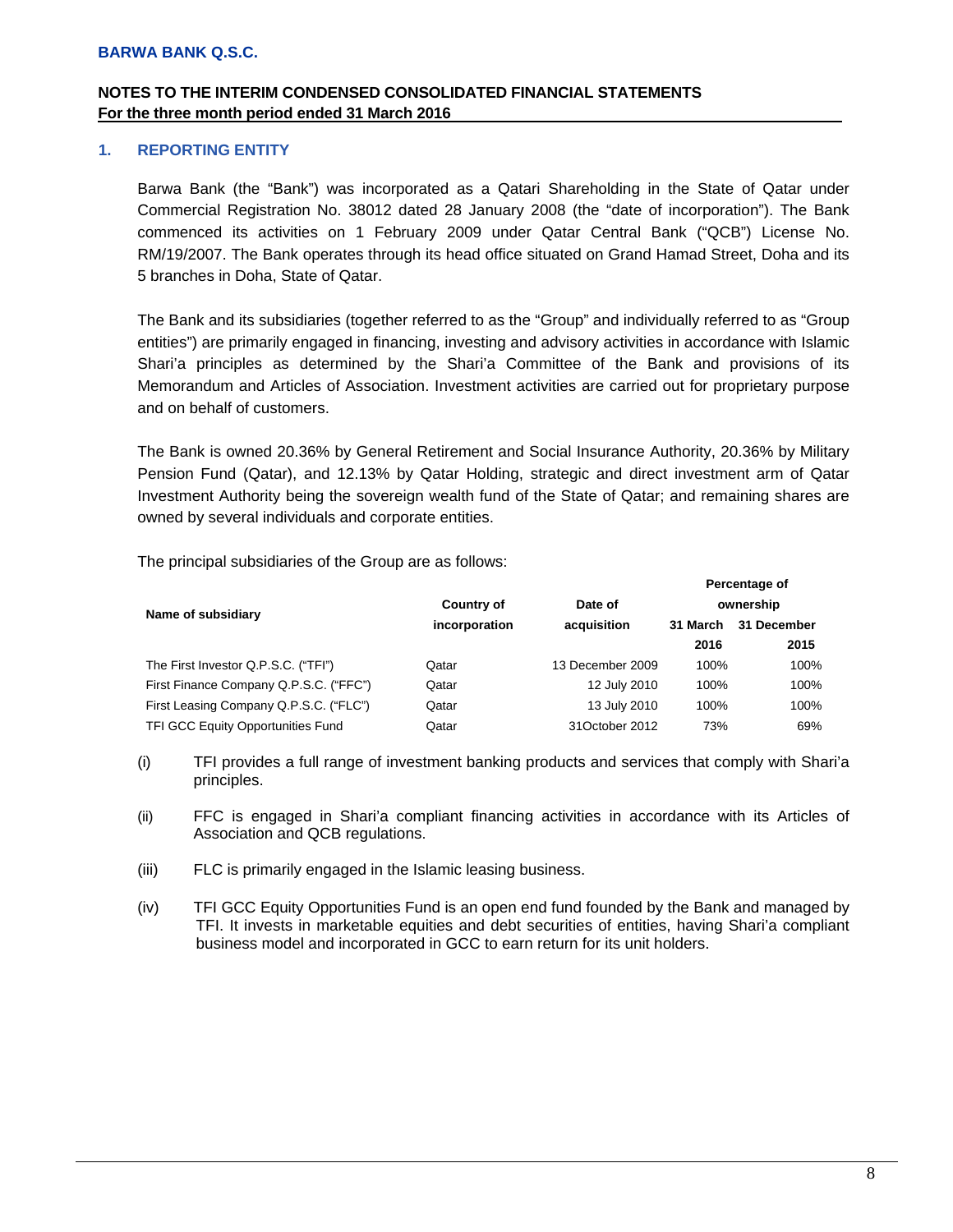### **1. REPORTING ENTITY**

Barwa Bank (the "Bank") was incorporated as a Qatari Shareholding in the State of Qatar under Commercial Registration No. 38012 dated 28 January 2008 (the "date of incorporation"). The Bank commenced its activities on 1 February 2009 under Qatar Central Bank ("QCB") License No. RM/19/2007. The Bank operates through its head office situated on Grand Hamad Street, Doha and its 5 branches in Doha, State of Qatar.

The Bank and its subsidiaries (together referred to as the "Group" and individually referred to as "Group entities") are primarily engaged in financing, investing and advisory activities in accordance with Islamic Shari'a principles as determined by the Shari'a Committee of the Bank and provisions of its Memorandum and Articles of Association. Investment activities are carried out for proprietary purpose and on behalf of customers.

The Bank is owned 20.36% by General Retirement and Social Insurance Authority, 20.36% by Military Pension Fund (Qatar), and 12.13% by Qatar Holding, strategic and direct investment arm of Qatar Investment Authority being the sovereign wealth fund of the State of Qatar; and remaining shares are owned by several individuals and corporate entities.

The principal subsidiaries of the Group are as follows:

|                                          |                   |                  |          | <b>Fercentage of</b> |
|------------------------------------------|-------------------|------------------|----------|----------------------|
| Name of subsidiary                       | <b>Country of</b> | Date of          |          | ownership            |
|                                          | incorporation     | acquisition      | 31 March | 31 December          |
|                                          |                   |                  | 2016     | 2015                 |
| The First Investor Q.P.S.C. ("TFI")      | Qatar             | 13 December 2009 | 100%     | 100%                 |
| First Finance Company Q.P.S.C. ("FFC")   | Qatar             | 12 July 2010     | 100%     | 100%                 |
| First Leasing Company Q.P.S.C. ("FLC")   | Qatar             | 13 July 2010     | 100%     | 100%                 |
| <b>TFI GCC Equity Opportunities Fund</b> | Qatar             | 31October 2012   | 73%      | 69%                  |

- (i) TFI provides a full range of investment banking products and services that comply with Shari'a principles.
- (ii) FFC is engaged in Shari'a compliant financing activities in accordance with its Articles of Association and QCB regulations.
- (iii) FLC is primarily engaged in the Islamic leasing business.
- (iv) TFI GCC Equity Opportunities Fund is an open end fund founded by the Bank and managed by TFI. It invests in marketable equities and debt securities of entities, having Shari'a compliant business model and incorporated in GCC to earn return for its unit holders.

**Percentage of**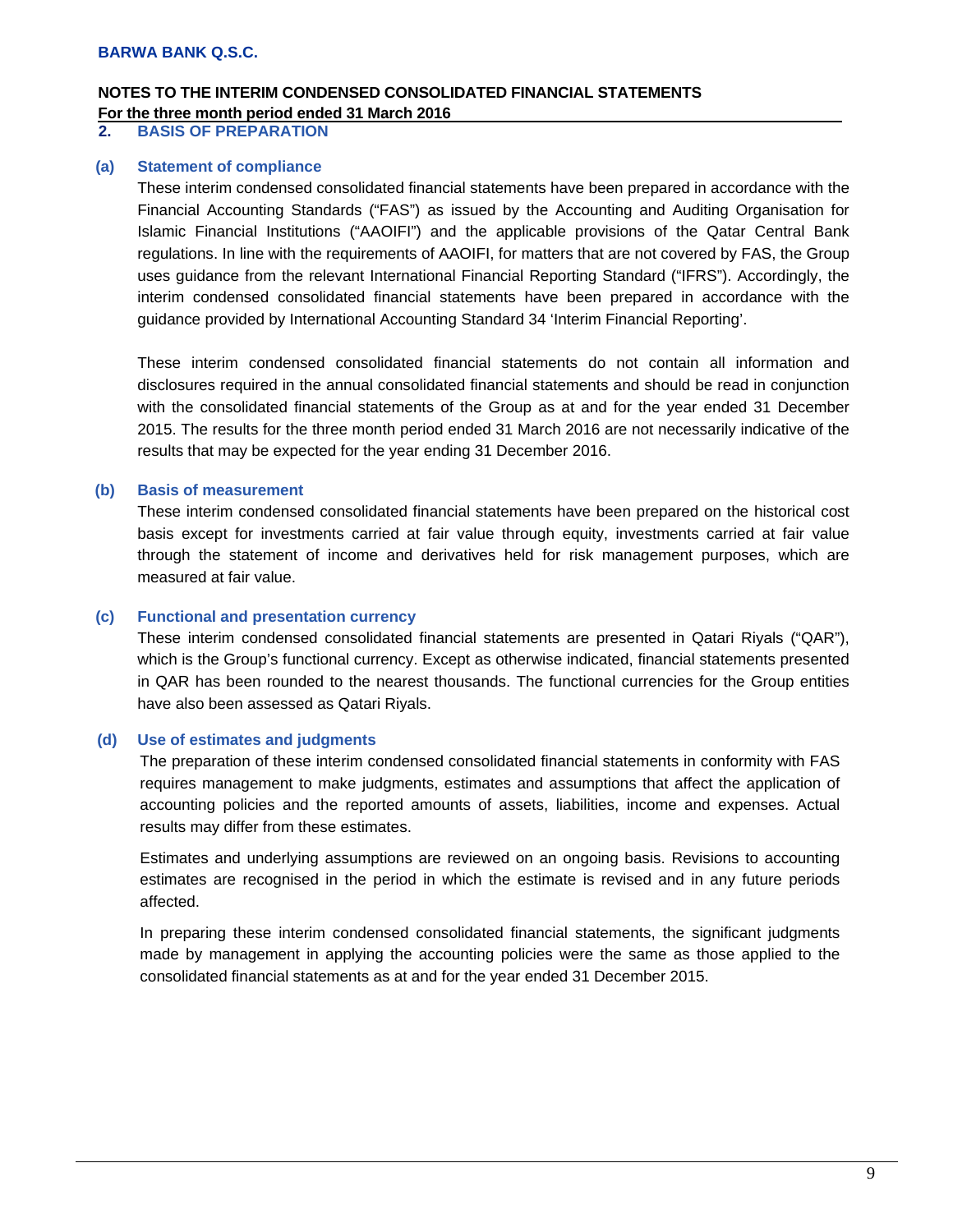#### **2. BASIS OF PREPARATION**

#### **(a) Statement of compliance**

These interim condensed consolidated financial statements have been prepared in accordance with the Financial Accounting Standards ("FAS") as issued by the Accounting and Auditing Organisation for Islamic Financial Institutions ("AAOIFI") and the applicable provisions of the Qatar Central Bank regulations. In line with the requirements of AAOIFI, for matters that are not covered by FAS, the Group uses guidance from the relevant International Financial Reporting Standard ("IFRS"). Accordingly, the interim condensed consolidated financial statements have been prepared in accordance with the guidance provided by International Accounting Standard 34 'Interim Financial Reporting'.

These interim condensed consolidated financial statements do not contain all information and disclosures required in the annual consolidated financial statements and should be read in conjunction with the consolidated financial statements of the Group as at and for the year ended 31 December 2015. The results for the three month period ended 31 March 2016 are not necessarily indicative of the results that may be expected for the year ending 31 December 2016.

### **(b) Basis of measurement**

These interim condensed consolidated financial statements have been prepared on the historical cost basis except for investments carried at fair value through equity, investments carried at fair value through the statement of income and derivatives held for risk management purposes, which are measured at fair value.

#### **(c) Functional and presentation currency**

These interim condensed consolidated financial statements are presented in Qatari Riyals ("QAR"), which is the Group's functional currency. Except as otherwise indicated, financial statements presented in QAR has been rounded to the nearest thousands. The functional currencies for the Group entities have also been assessed as Qatari Riyals.

#### **(d) Use of estimates and judgments**

The preparation of these interim condensed consolidated financial statements in conformity with FAS requires management to make judgments, estimates and assumptions that affect the application of accounting policies and the reported amounts of assets, liabilities, income and expenses. Actual results may differ from these estimates.

Estimates and underlying assumptions are reviewed on an ongoing basis. Revisions to accounting estimates are recognised in the period in which the estimate is revised and in any future periods affected.

In preparing these interim condensed consolidated financial statements, the significant judgments made by management in applying the accounting policies were the same as those applied to the consolidated financial statements as at and for the year ended 31 December 2015.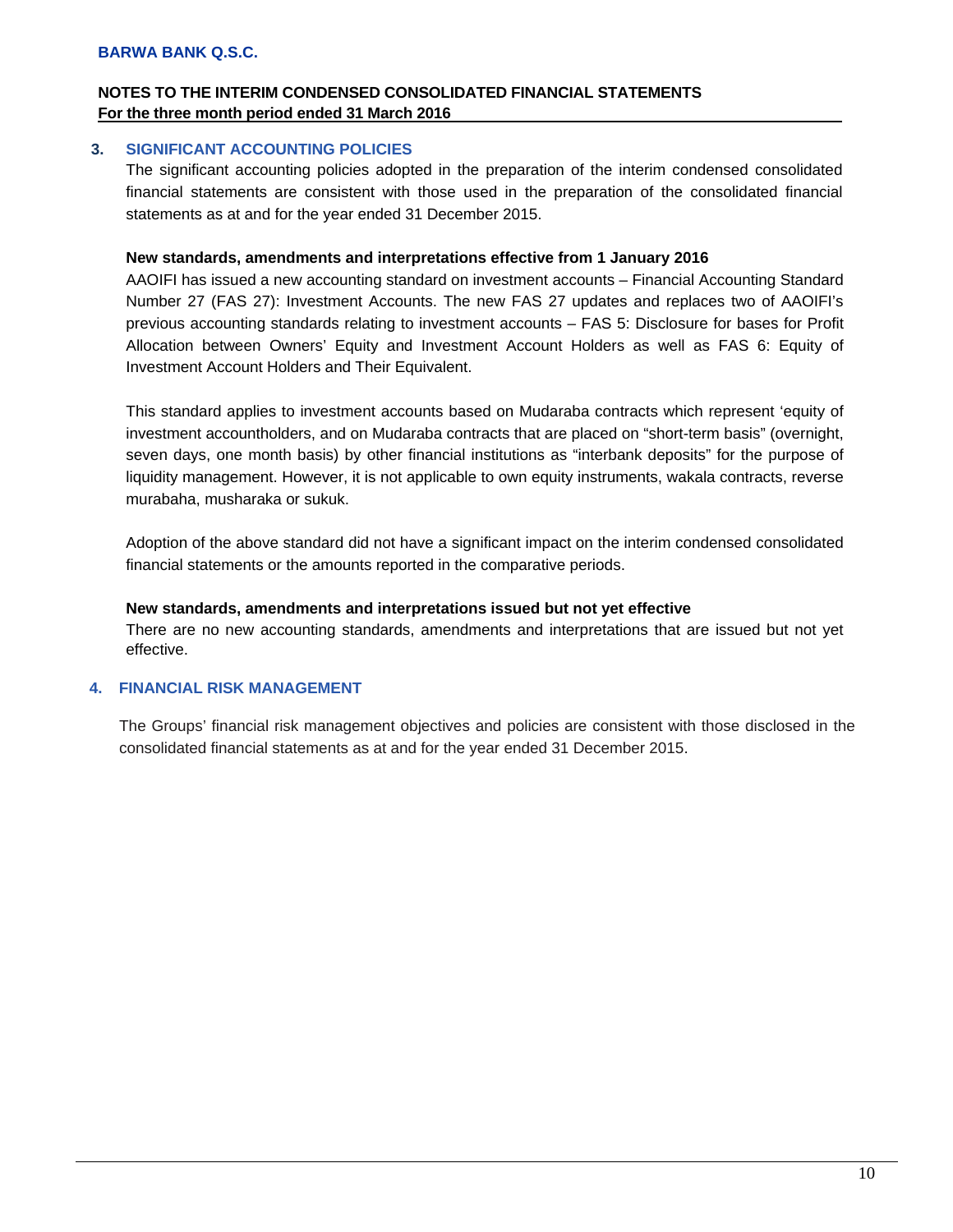### **3. SIGNIFICANT ACCOUNTING POLICIES**

The significant accounting policies adopted in the preparation of the interim condensed consolidated financial statements are consistent with those used in the preparation of the consolidated financial statements as at and for the year ended 31 December 2015.

### **New standards, amendments and interpretations effective from 1 January 2016**

AAOIFI has issued a new accounting standard on investment accounts – Financial Accounting Standard Number 27 (FAS 27): Investment Accounts. The new FAS 27 updates and replaces two of AAOIFI's previous accounting standards relating to investment accounts – FAS 5: Disclosure for bases for Profit Allocation between Owners' Equity and Investment Account Holders as well as FAS 6: Equity of Investment Account Holders and Their Equivalent.

This standard applies to investment accounts based on Mudaraba contracts which represent 'equity of investment accountholders, and on Mudaraba contracts that are placed on "short-term basis" (overnight, seven days, one month basis) by other financial institutions as "interbank deposits" for the purpose of liquidity management. However, it is not applicable to own equity instruments, wakala contracts, reverse murabaha, musharaka or sukuk.

Adoption of the above standard did not have a significant impact on the interim condensed consolidated financial statements or the amounts reported in the comparative periods.

#### **New standards, amendments and interpretations issued but not yet effective**

There are no new accounting standards, amendments and interpretations that are issued but not yet effective.

### **4. FINANCIAL RISK MANAGEMENT**

The Groups' financial risk management objectives and policies are consistent with those disclosed in the consolidated financial statements as at and for the year ended 31 December 2015.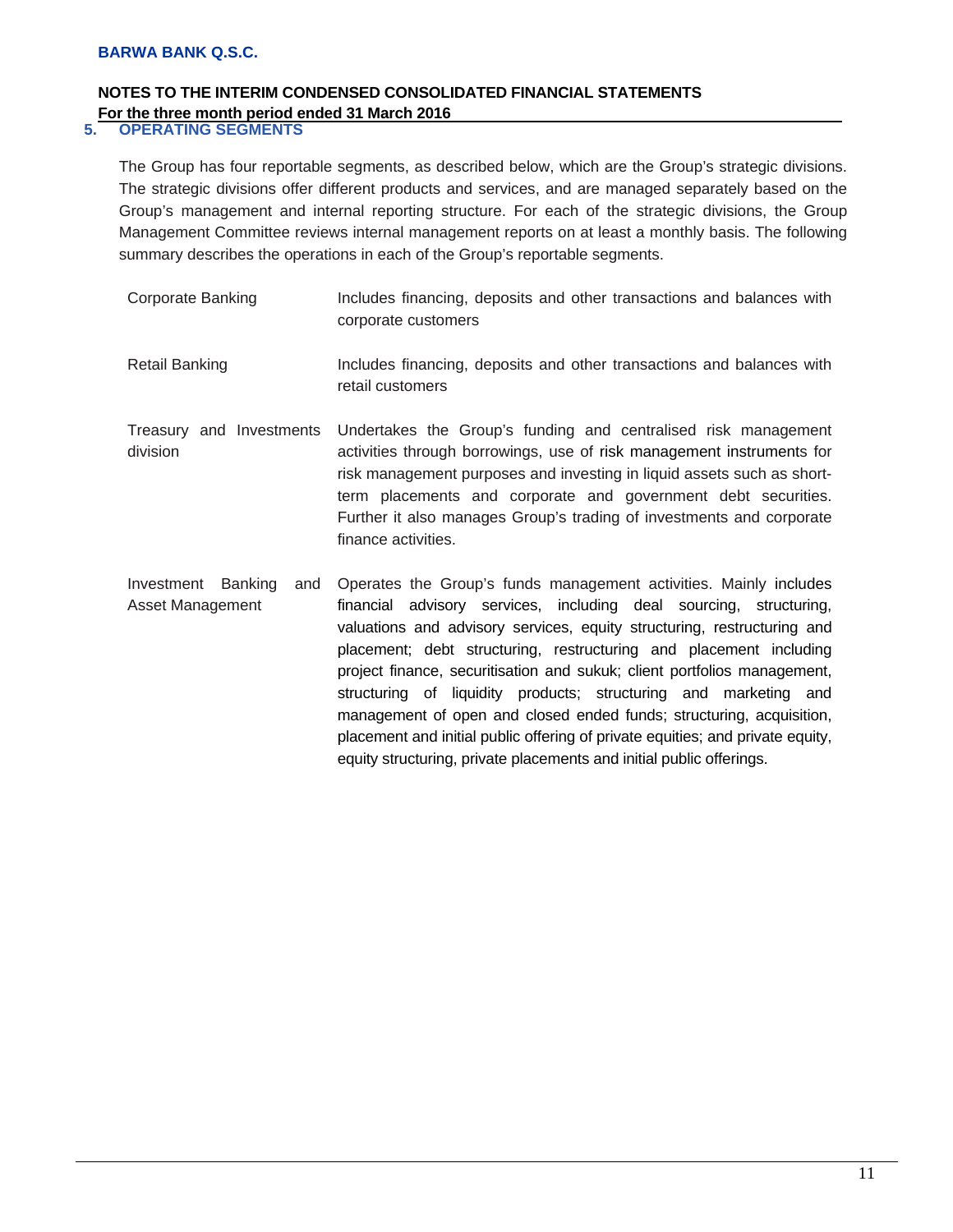# **NOTES TO THE INTERIM CONDENSED CONSOLIDATED FINANCIAL STATEMENTS For the three month period ended 31 March 2016**<br>5. **OPERATING SEGMENTS**

### **5. OPERATING SEGMENTS**

The Group has four reportable segments, as described below, which are the Group's strategic divisions. The strategic divisions offer different products and services, and are managed separately based on the Group's management and internal reporting structure. For each of the strategic divisions, the Group Management Committee reviews internal management reports on at least a monthly basis. The following summary describes the operations in each of the Group's reportable segments.

| <b>Corporate Banking</b>                                | Includes financing, deposits and other transactions and balances with<br>corporate customers                                                                                                                                                                                                                                                                                                                                                                                                                                                                                                                                                                                  |
|---------------------------------------------------------|-------------------------------------------------------------------------------------------------------------------------------------------------------------------------------------------------------------------------------------------------------------------------------------------------------------------------------------------------------------------------------------------------------------------------------------------------------------------------------------------------------------------------------------------------------------------------------------------------------------------------------------------------------------------------------|
| <b>Retail Banking</b>                                   | Includes financing, deposits and other transactions and balances with<br>retail customers                                                                                                                                                                                                                                                                                                                                                                                                                                                                                                                                                                                     |
| Treasury and Investments<br>division                    | Undertakes the Group's funding and centralised risk management<br>activities through borrowings, use of risk management instruments for<br>risk management purposes and investing in liquid assets such as short-<br>term placements and corporate and government debt securities.<br>Further it also manages Group's trading of investments and corporate<br>finance activities.                                                                                                                                                                                                                                                                                             |
| <b>Banking</b><br>Investment<br>and<br>Asset Management | Operates the Group's funds management activities. Mainly includes<br>advisory services, including deal sourcing, structuring,<br>financial<br>valuations and advisory services, equity structuring, restructuring and<br>placement; debt structuring, restructuring and placement including<br>project finance, securitisation and sukuk; client portfolios management,<br>structuring of liquidity products; structuring and marketing and<br>management of open and closed ended funds; structuring, acquisition,<br>placement and initial public offering of private equities; and private equity,<br>equity structuring, private placements and initial public offerings. |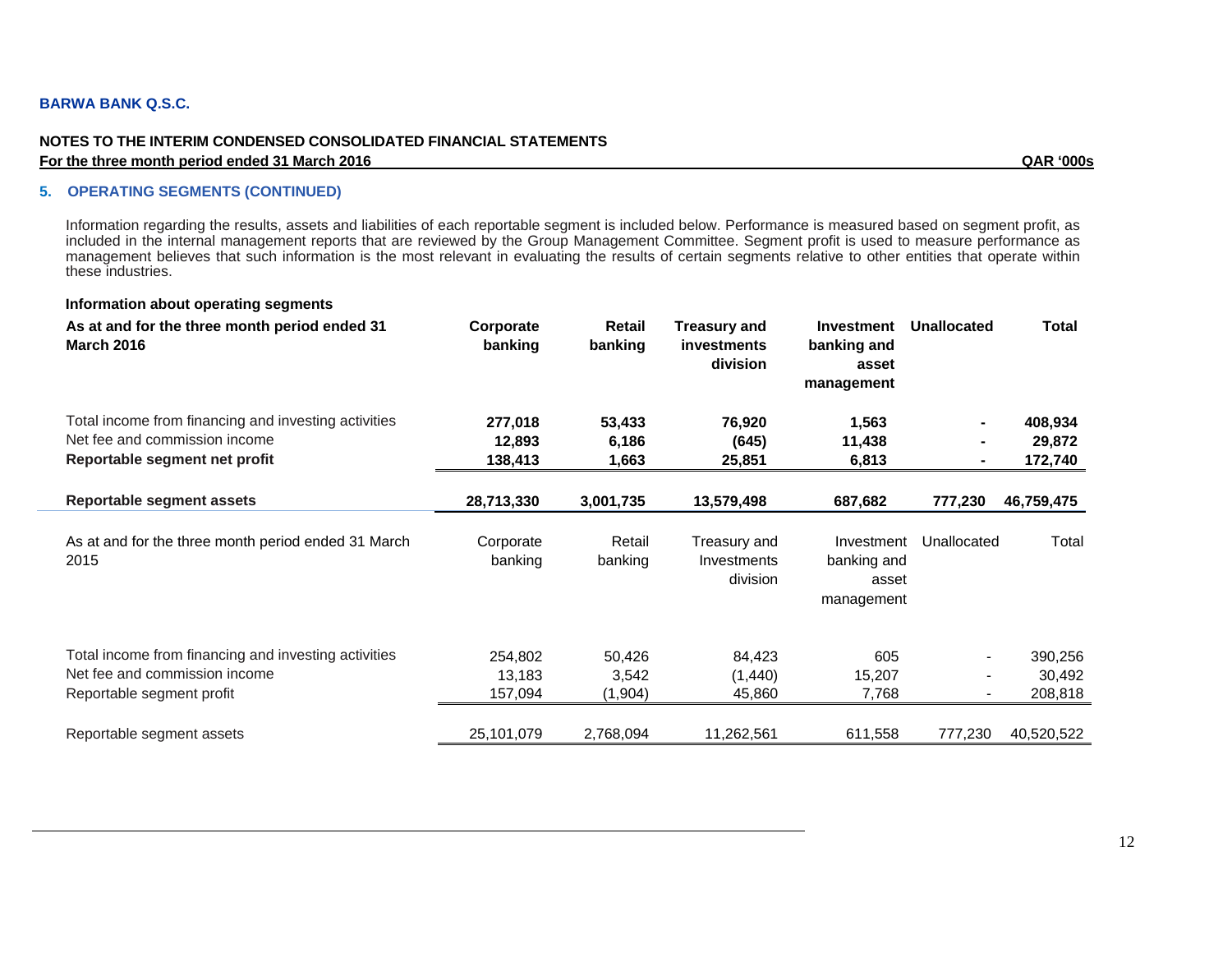#### **NOTES TO THE INTERIM CONDENSED CONSOLIDATED FINANCIAL STATEMENTS For the three month period ended 31 March 2016 QAR '000s**

#### **5. OPERATING SEGMENTS (CONTINUED)**

Information regarding the results, assets and liabilities of each reportable segment is included below. Performance is measured based on segment profit, as included in the internal management reports that are reviewed by the Group Management Committee. Segment profit is used to measure performance as management believes that such information is the most relevant in evaluating the results of certain segments relative to other entities that operate within these industries.

#### **Information about operating segments**

| As at and for the three month period ended 31<br><b>March 2016</b>                                                 | Corporate<br>banking         | Retail<br>banking          | Treasury and<br>investments<br>division        | <b>Investment</b><br>banking and<br>asset<br>management | <b>Unallocated</b>            | <b>Total</b>                 |
|--------------------------------------------------------------------------------------------------------------------|------------------------------|----------------------------|------------------------------------------------|---------------------------------------------------------|-------------------------------|------------------------------|
| Total income from financing and investing activities                                                               | 277,018                      | 53,433                     | 76,920                                         | 1,563                                                   |                               | 408,934                      |
| Net fee and commission income                                                                                      | 12,893                       | 6,186                      | (645)                                          | 11,438                                                  |                               | 29,872                       |
| Reportable segment net profit                                                                                      | 138,413                      | 1,663                      | 25,851                                         | 6,813                                                   |                               | 172,740                      |
| Reportable segment assets                                                                                          | 28,713,330                   | 3,001,735                  | 13,579,498                                     | 687,682                                                 | 777,230                       | 46,759,475                   |
| As at and for the three month period ended 31 March<br>2015                                                        | Corporate<br>banking         | Retail<br>banking          | Treasury and<br><b>Investments</b><br>division | Investment<br>banking and<br>asset<br>management        | Unallocated                   | Total                        |
| Total income from financing and investing activities<br>Net fee and commission income<br>Reportable segment profit | 254,802<br>13,183<br>157,094 | 50,426<br>3,542<br>(1,904) | 84,423<br>(1,440)<br>45,860                    | 605<br>15,207<br>7,768                                  | $\overline{\phantom{a}}$<br>- | 390,256<br>30,492<br>208,818 |
| Reportable segment assets                                                                                          | 25,101,079                   | 2,768,094                  | 11,262,561                                     | 611,558                                                 | 777,230                       | 40,520,522                   |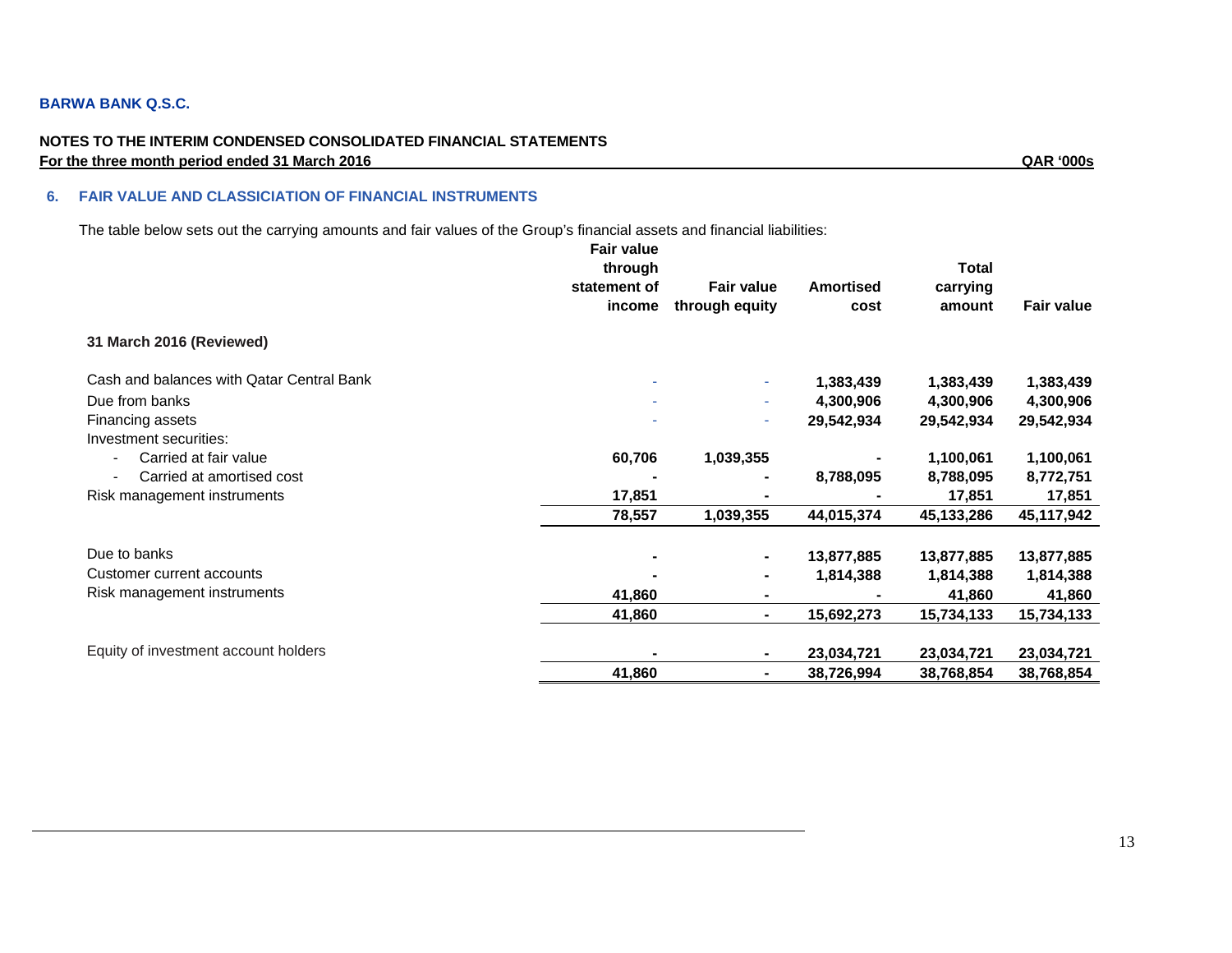#### **NOTES TO THE INTERIM CONDENSED CONSOLIDATED FINANCIAL STATEMENTS For the three month period ended 31 March 2016 QAR '000s**

#### **6. FAIR VALUE AND CLASSICIATION OF FINANCIAL INSTRUMENTS**

The table below sets out the carrying amounts and fair values of the Group's financial assets and financial liabilities:

|                                                   | <b>Fair value</b><br>through<br>statement of<br>income | <b>Fair value</b><br>through equity | <b>Amortised</b><br>cost | <b>Total</b><br>carrying<br>amount | <b>Fair value</b> |
|---------------------------------------------------|--------------------------------------------------------|-------------------------------------|--------------------------|------------------------------------|-------------------|
| 31 March 2016 (Reviewed)                          |                                                        |                                     |                          |                                    |                   |
| Cash and balances with Qatar Central Bank         |                                                        | $\sim$                              | 1,383,439                | 1,383,439                          | 1,383,439         |
| Due from banks                                    | ٠                                                      | ÷                                   | 4,300,906                | 4,300,906                          | 4,300,906         |
| Financing assets                                  |                                                        | ÷                                   | 29,542,934               | 29,542,934                         | 29,542,934        |
| Investment securities:                            |                                                        |                                     |                          |                                    |                   |
| Carried at fair value<br>$\overline{\phantom{a}}$ | 60,706                                                 | 1,039,355                           |                          | 1,100,061                          | 1,100,061         |
| Carried at amortised cost                         |                                                        |                                     | 8,788,095                | 8,788,095                          | 8,772,751         |
| Risk management instruments                       | 17,851                                                 |                                     |                          | 17,851                             | 17,851            |
|                                                   | 78,557                                                 | 1,039,355                           | 44,015,374               | 45,133,286                         | 45,117,942        |
| Due to banks                                      |                                                        |                                     | 13,877,885               | 13,877,885                         | 13,877,885        |
| Customer current accounts                         |                                                        |                                     | 1,814,388                | 1,814,388                          | 1,814,388         |
| Risk management instruments                       | 41,860                                                 | ۰                                   |                          | 41,860                             | 41,860            |
|                                                   | 41,860                                                 | $\blacksquare$                      | 15,692,273               | 15,734,133                         | 15,734,133        |
| Equity of investment account holders              |                                                        | ٠                                   | 23,034,721               | 23,034,721                         | 23,034,721        |
|                                                   | 41,860                                                 | ٠                                   | 38,726,994               | 38,768,854                         | 38,768,854        |
|                                                   |                                                        |                                     |                          |                                    |                   |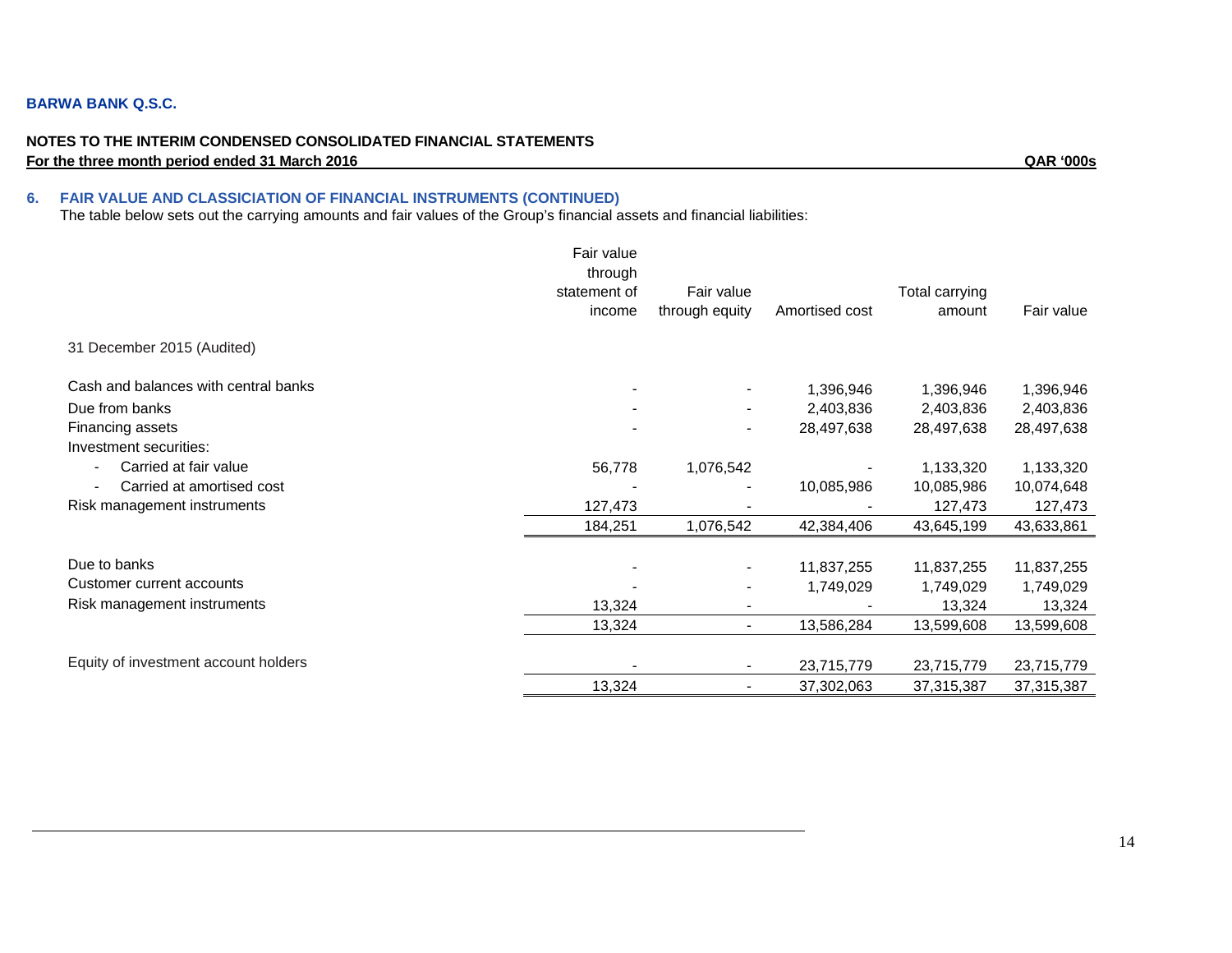#### **NOTES TO THE INTERIM CONDENSED CONSOLIDATED FINANCIAL STATEMENTS For the three month period ended 31 March 2016** QAR '000s

#### **6. FAIR VALUE AND CLASSICIATION OF FINANCIAL INSTRUMENTS (CONTINUED)**

The table below sets out the carrying amounts and fair values of the Group's financial assets and financial liabilities:

|                                      | Fair value<br>through |                          |                |                |            |
|--------------------------------------|-----------------------|--------------------------|----------------|----------------|------------|
|                                      | statement of          | Fair value               |                | Total carrying |            |
|                                      | income                | through equity           | Amortised cost | amount         | Fair value |
| 31 December 2015 (Audited)           |                       |                          |                |                |            |
| Cash and balances with central banks |                       |                          | 1,396,946      | 1,396,946      | 1,396,946  |
| Due from banks                       |                       |                          | 2,403,836      | 2,403,836      | 2,403,836  |
| Financing assets                     |                       | $\overline{\phantom{a}}$ | 28,497,638     | 28,497,638     | 28,497,638 |
| Investment securities:               |                       |                          |                |                |            |
| Carried at fair value                | 56,778                | 1,076,542                |                | 1,133,320      | 1,133,320  |
| Carried at amortised cost            |                       |                          | 10,085,986     | 10,085,986     | 10,074,648 |
| Risk management instruments          | 127,473               |                          |                | 127,473        | 127,473    |
|                                      | 184,251               | 1,076,542                | 42,384,406     | 43,645,199     | 43,633,861 |
| Due to banks                         |                       |                          | 11,837,255     | 11,837,255     | 11,837,255 |
| Customer current accounts            |                       |                          | 1,749,029      | 1,749,029      | 1,749,029  |
| Risk management instruments          | 13,324                |                          |                | 13,324         | 13,324     |
|                                      | 13,324                |                          | 13,586,284     | 13,599,608     | 13,599,608 |
|                                      |                       |                          |                |                |            |
| Equity of investment account holders |                       |                          | 23,715,779     | 23,715,779     | 23,715,779 |
|                                      | 13,324                |                          | 37,302,063     | 37,315,387     | 37,315,387 |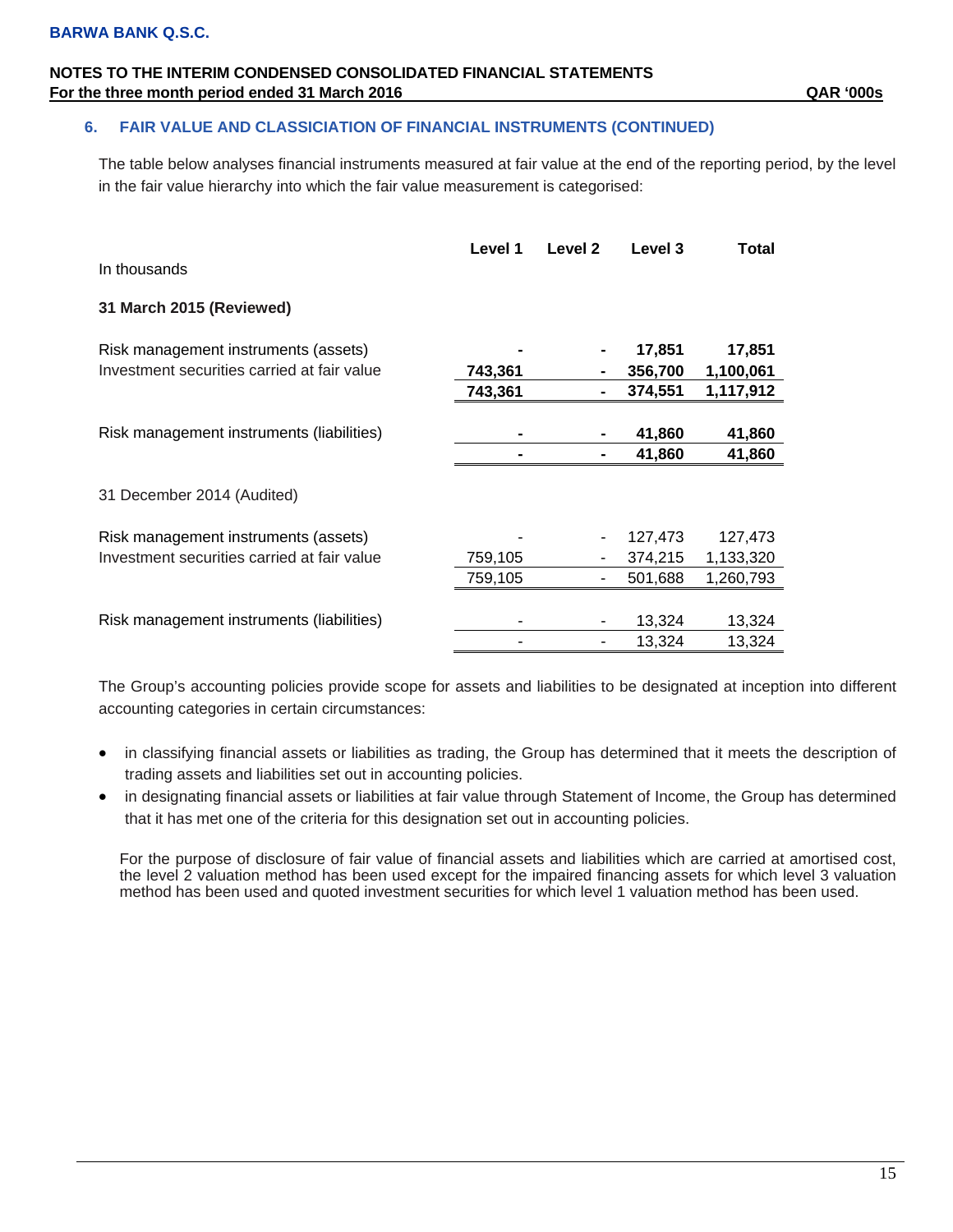### **6. FAIR VALUE AND CLASSICIATION OF FINANCIAL INSTRUMENTS (CONTINUED)**

The table below analyses financial instruments measured at fair value at the end of the reporting period, by the level in the fair value hierarchy into which the fair value measurement is categorised:

| In thousands                                | Level 1            | Level 2 | Level 3            | Total                  |
|---------------------------------------------|--------------------|---------|--------------------|------------------------|
| 31 March 2015 (Reviewed)                    |                    |         |                    |                        |
| Risk management instruments (assets)        |                    |         | 17,851             | 17,851                 |
| Investment securities carried at fair value | 743,361<br>743,361 |         | 356,700<br>374,551 | 1,100,061<br>1,117,912 |
| Risk management instruments (liabilities)   |                    |         | 41,860             | 41,860                 |
|                                             |                    |         | 41,860             | 41,860                 |
| 31 December 2014 (Audited)                  |                    |         |                    |                        |
| Risk management instruments (assets)        |                    |         | 127,473            | 127,473                |
| Investment securities carried at fair value | 759,105<br>759,105 |         | 374,215<br>501,688 | 1,133,320<br>1,260,793 |
| Risk management instruments (liabilities)   |                    |         | 13,324             | 13,324                 |
|                                             |                    |         | 13,324             | 13,324                 |

The Group's accounting policies provide scope for assets and liabilities to be designated at inception into different accounting categories in certain circumstances:

- in classifying financial assets or liabilities as trading, the Group has determined that it meets the description of trading assets and liabilities set out in accounting policies.
- in designating financial assets or liabilities at fair value through Statement of Income, the Group has determined that it has met one of the criteria for this designation set out in accounting policies.

For the purpose of disclosure of fair value of financial assets and liabilities which are carried at amortised cost, the level 2 valuation method has been used except for the impaired financing assets for which level 3 valuation method has been used and quoted investment securities for which level 1 valuation method has been used.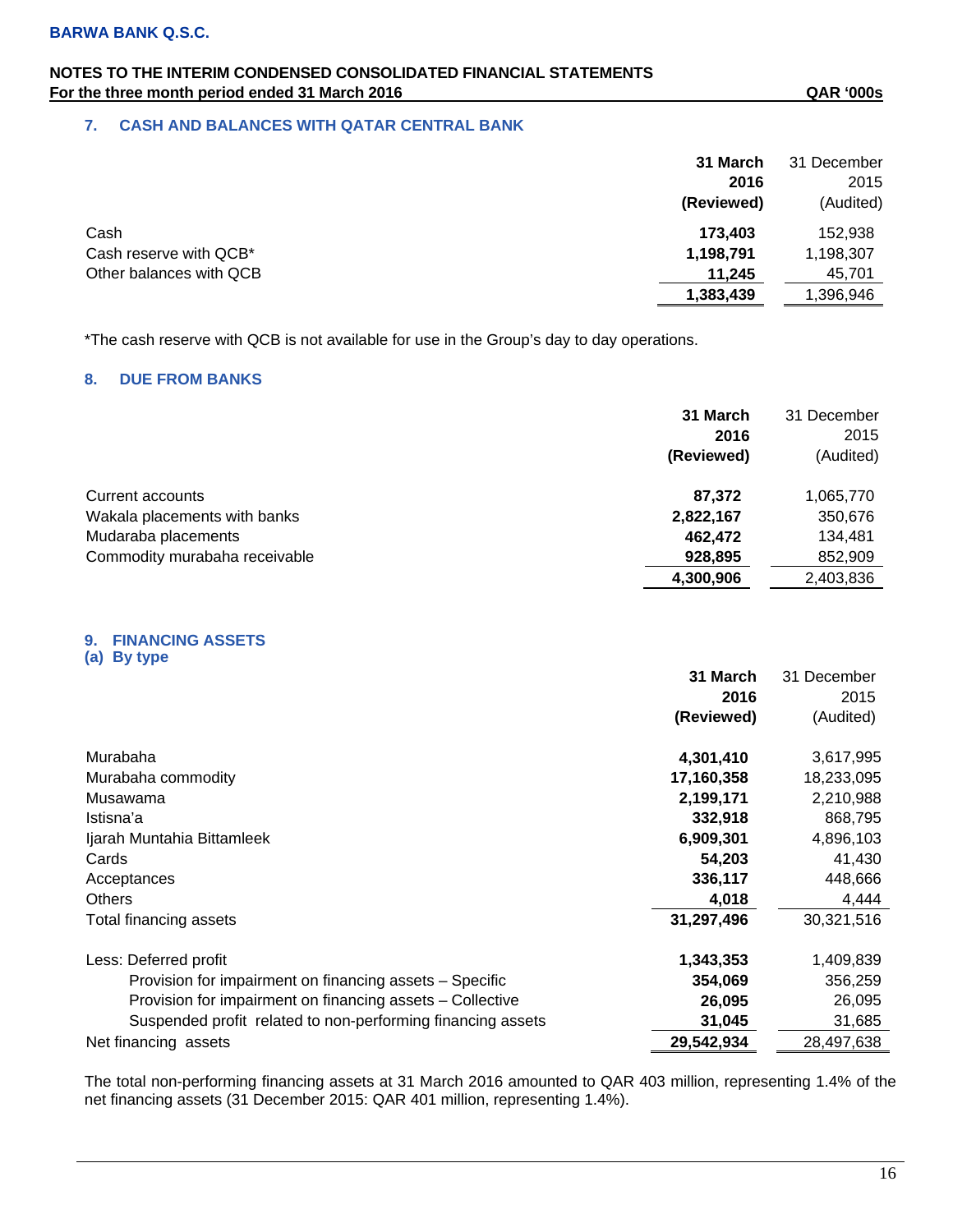### **7. CASH AND BALANCES WITH QATAR CENTRAL BANK**

|                         | 31 March   | 31 December |
|-------------------------|------------|-------------|
|                         | 2016       | 2015        |
|                         | (Reviewed) | (Audited)   |
| Cash                    | 173,403    | 152,938     |
| Cash reserve with QCB*  | 1,198,791  | 1,198,307   |
| Other balances with QCB | 11,245     | 45,701      |
|                         | 1,383,439  | ,396,946    |

\*The cash reserve with QCB is not available for use in the Group's day to day operations.

### **8. DUE FROM BANKS**

|                               | 31 March<br>2016<br>(Reviewed) | 31 December<br>2015<br>(Audited) |
|-------------------------------|--------------------------------|----------------------------------|
| Current accounts              | 87,372                         | 1,065,770                        |
| Wakala placements with banks  | 2,822,167                      | 350,676                          |
| Mudaraba placements           | 462,472                        | 134,481                          |
| Commodity murabaha receivable | 928,895                        | 852,909                          |
|                               | 4,300,906                      | 2,403,836                        |

#### **9. FINANCING ASSETS (a) By type**

**31 March 2016 (Reviewed)** 31 December 2015 (Audited) Murabaha **4,301,410** 3,617,995 Murabaha commodity **17,160,358** 18,233,095 Musawama **2,199,171** 2,210,988 Istisna'a **332,918** 868,795 Ijarah Muntahia Bittamleek **6,909,301** 4,896,103 Cards **54,203** 41,430 Acceptances **336,117** 448,666 Others **4,018** 4,444 Total financing assets **31,297,496** 30,321,516 Less: Deferred profit **1,343,353** 1,409,839 Provision for impairment on financing assets – Specific **354,069** 356,259 Provision for impairment on financing assets – Collective **26,095** 26,095 Suspended profit related to non-performing financing assets **31,045** 31,685 Net financing assets **29,542,934** 28,497,638

The total non-performing financing assets at 31 March 2016 amounted to QAR 403 million, representing 1.4% of the net financing assets (31 December 2015: QAR 401 million, representing 1.4%).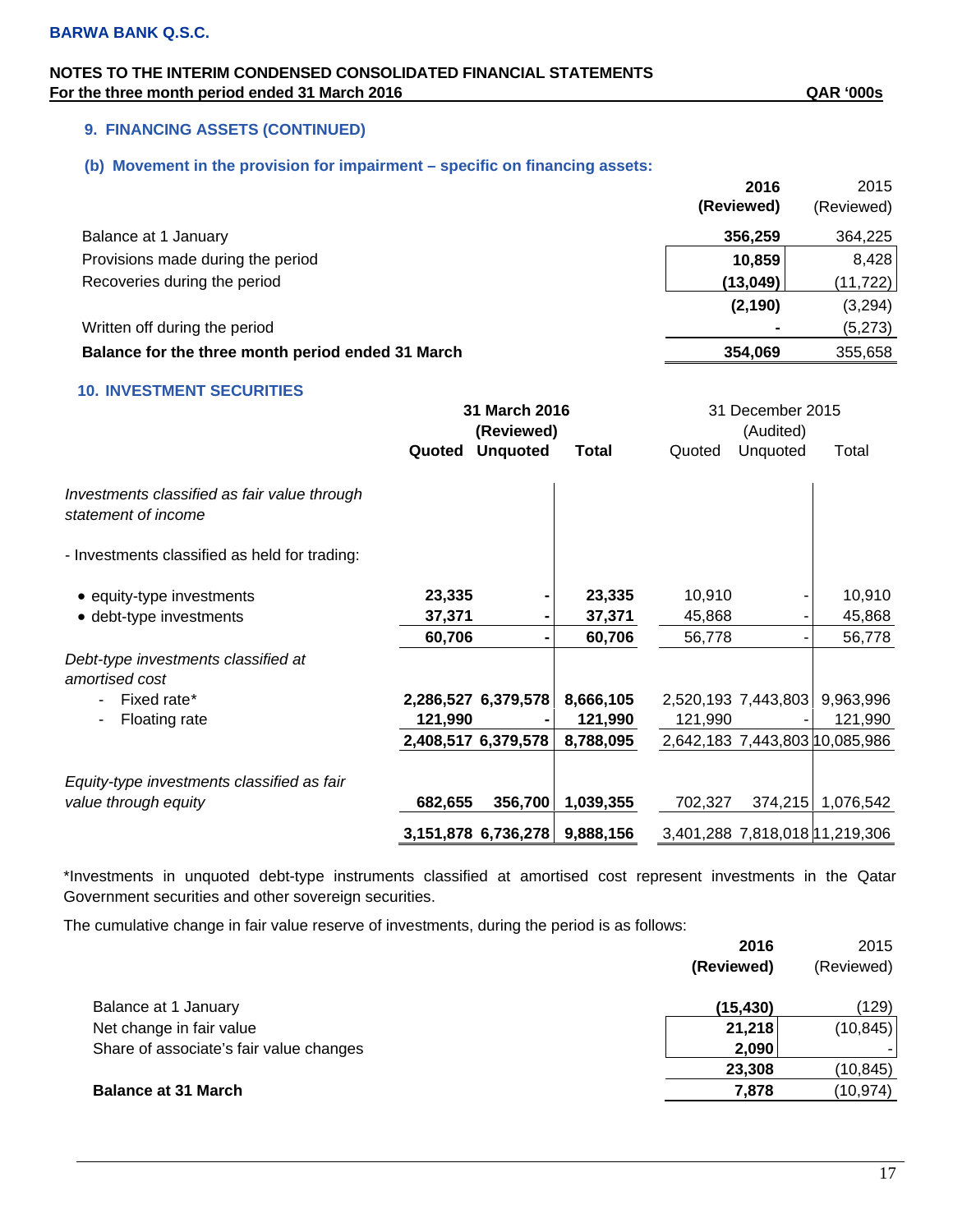### **9. FINANCING ASSETS (CONTINUED)**

### **(b) Movement in the provision for impairment – specific on financing assets:**

|                                                   | 2016       | 2015       |
|---------------------------------------------------|------------|------------|
|                                                   | (Reviewed) | (Reviewed) |
| Balance at 1 January                              | 356,259    | 364,225    |
| Provisions made during the period                 | 10,859     | 8,428      |
| Recoveries during the period                      | (13,049)   | (11, 722)  |
|                                                   | (2, 190)   | (3,294)    |
| Written off during the period                     |            | (5,273)    |
| Balance for the three month period ended 31 March | 354.069    | 355,658    |

### **10. INVESTMENT SECURITIES**

|                                                                     |         | 31 March 2016       |           |         | 31 December 2015    |                                |
|---------------------------------------------------------------------|---------|---------------------|-----------|---------|---------------------|--------------------------------|
|                                                                     |         | (Reviewed)          |           |         | (Audited)           |                                |
|                                                                     | Quoted  | <b>Unquoted</b>     | Total     | Quoted  | Unquoted            | Total                          |
| Investments classified as fair value through<br>statement of income |         |                     |           |         |                     |                                |
| - Investments classified as held for trading:                       |         |                     |           |         |                     |                                |
| • equity-type investments                                           | 23,335  |                     | 23,335    | 10,910  |                     | 10,910                         |
| • debt-type investments                                             | 37,371  |                     | 37,371    | 45,868  |                     | 45,868                         |
|                                                                     | 60,706  |                     | 60,706    | 56,778  |                     | 56,778                         |
| Debt-type investments classified at<br>amortised cost               |         |                     |           |         |                     |                                |
| Fixed rate*                                                         |         | 2,286,527 6,379,578 | 8,666,105 |         | 2,520,193 7,443,803 | 9,963,996                      |
| Floating rate<br>۰                                                  | 121,990 |                     | 121,990   | 121,990 |                     | 121,990                        |
|                                                                     |         | 2,408,517 6,379,578 | 8,788,095 |         |                     | 2,642,183 7,443,803 10,085,986 |
| Equity-type investments classified as fair                          |         |                     |           |         |                     |                                |
| value through equity                                                | 682,655 | 356,700             | 1,039,355 | 702,327 | 374,215             | 1,076,542                      |
|                                                                     |         | 3,151,878 6,736,278 | 9,888,156 |         |                     | 3,401,288 7,818,018 11,219,306 |

\*Investments in unquoted debt-type instruments classified at amortised cost represent investments in the Qatar Government securities and other sovereign securities.

The cumulative change in fair value reserve of investments, during the period is as follows:

|                                         | 2016       | 2015       |
|-----------------------------------------|------------|------------|
|                                         | (Reviewed) | (Reviewed) |
| Balance at 1 January                    | (15, 430)  | (129)      |
| Net change in fair value                | 21,218     | (10, 845)  |
| Share of associate's fair value changes | 2,090      |            |
|                                         | 23,308     | (10,845)   |
| <b>Balance at 31 March</b>              | 7,878      | (10, 974)  |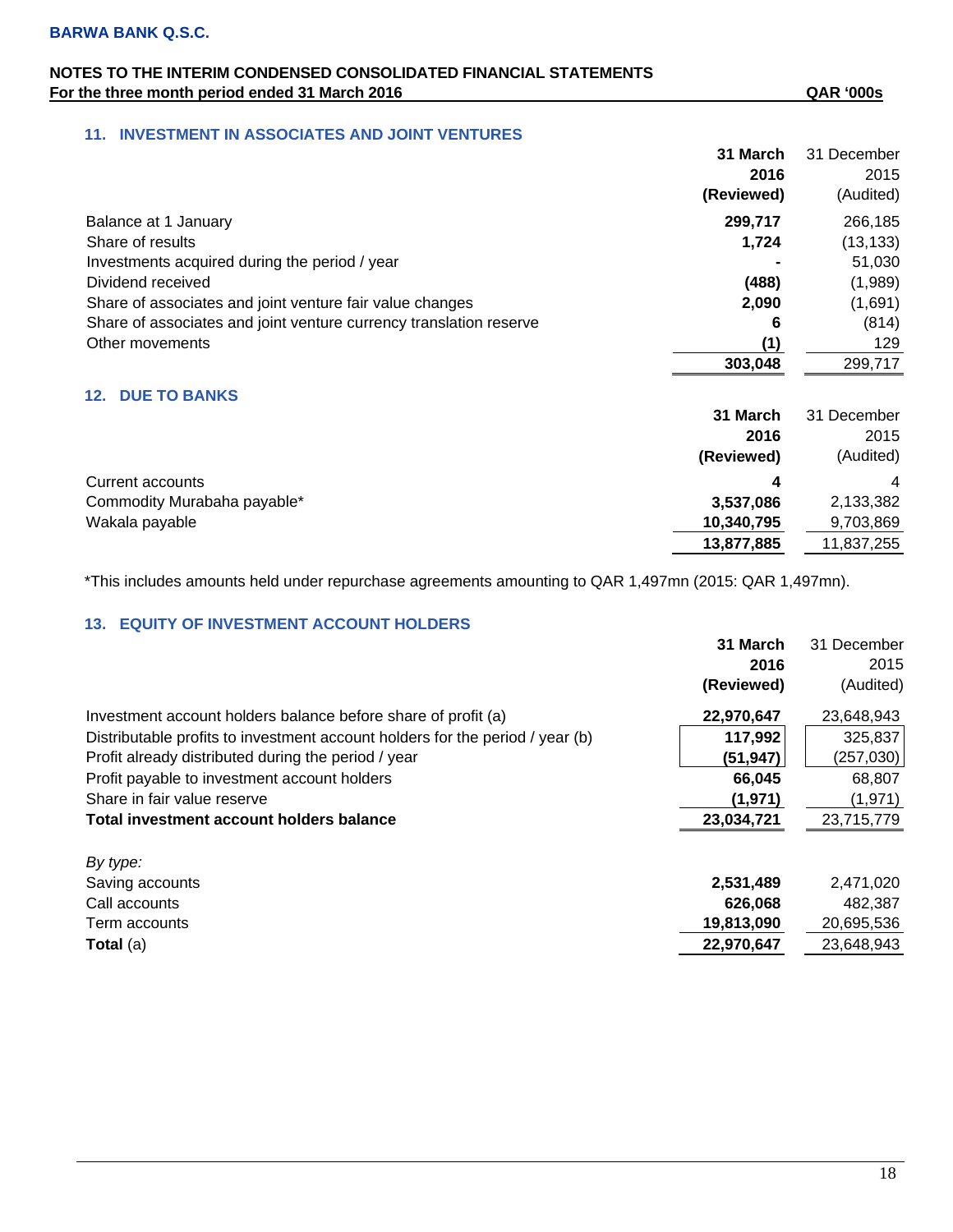### **11. INVESTMENT IN ASSOCIATES AND JOINT VENTURES**

|                                                                    | 31 March<br>2016<br>(Reviewed) | 31 December<br>2015<br>(Audited) |
|--------------------------------------------------------------------|--------------------------------|----------------------------------|
| Balance at 1 January                                               | 299,717                        | 266,185                          |
| Share of results                                                   | 1,724                          | (13, 133)                        |
| Investments acquired during the period / year                      |                                | 51,030                           |
| Dividend received                                                  | (488)                          | (1,989)                          |
| Share of associates and joint venture fair value changes           | 2,090                          | (1,691)                          |
| Share of associates and joint venture currency translation reserve | 6                              | (814)                            |
| Other movements                                                    | (1)                            | 129                              |
|                                                                    | 303,048                        | 299,717                          |
| <b>DUE TO BANKS</b><br>12.                                         |                                |                                  |

|                             | 31 March   | 31 December    |
|-----------------------------|------------|----------------|
|                             | 2016       | 2015           |
|                             | (Reviewed) | (Audited)      |
| Current accounts            | Δ          | $\overline{4}$ |
| Commodity Murabaha payable* | 3,537,086  | 2,133,382      |
| Wakala payable              | 10,340,795 | 9,703,869      |
|                             | 13,877,885 | 11,837,255     |

\*This includes amounts held under repurchase agreements amounting to QAR 1,497mn (2015: QAR 1,497mn).

### **13. EQUITY OF INVESTMENT ACCOUNT HOLDERS**

|                                                                               | 31 March   | 31 December |
|-------------------------------------------------------------------------------|------------|-------------|
|                                                                               | 2016       | 2015        |
|                                                                               | (Reviewed) | (Audited)   |
| Investment account holders balance before share of profit (a)                 | 22,970,647 | 23,648,943  |
| Distributable profits to investment account holders for the period / year (b) | 117,992    | 325,837     |
| Profit already distributed during the period / year                           | (51, 947)  | (257,030)   |
| Profit payable to investment account holders                                  | 66,045     | 68,807      |
| Share in fair value reserve                                                   | (1, 971)   | (1, 971)    |
| Total investment account holders balance                                      | 23,034,721 | 23,715,779  |
| By type:                                                                      |            |             |
| Saving accounts                                                               | 2,531,489  | 2,471,020   |
| Call accounts                                                                 | 626,068    | 482,387     |
| Term accounts                                                                 | 19,813,090 | 20,695,536  |
| <b>Total</b> (a)                                                              | 22,970,647 | 23,648,943  |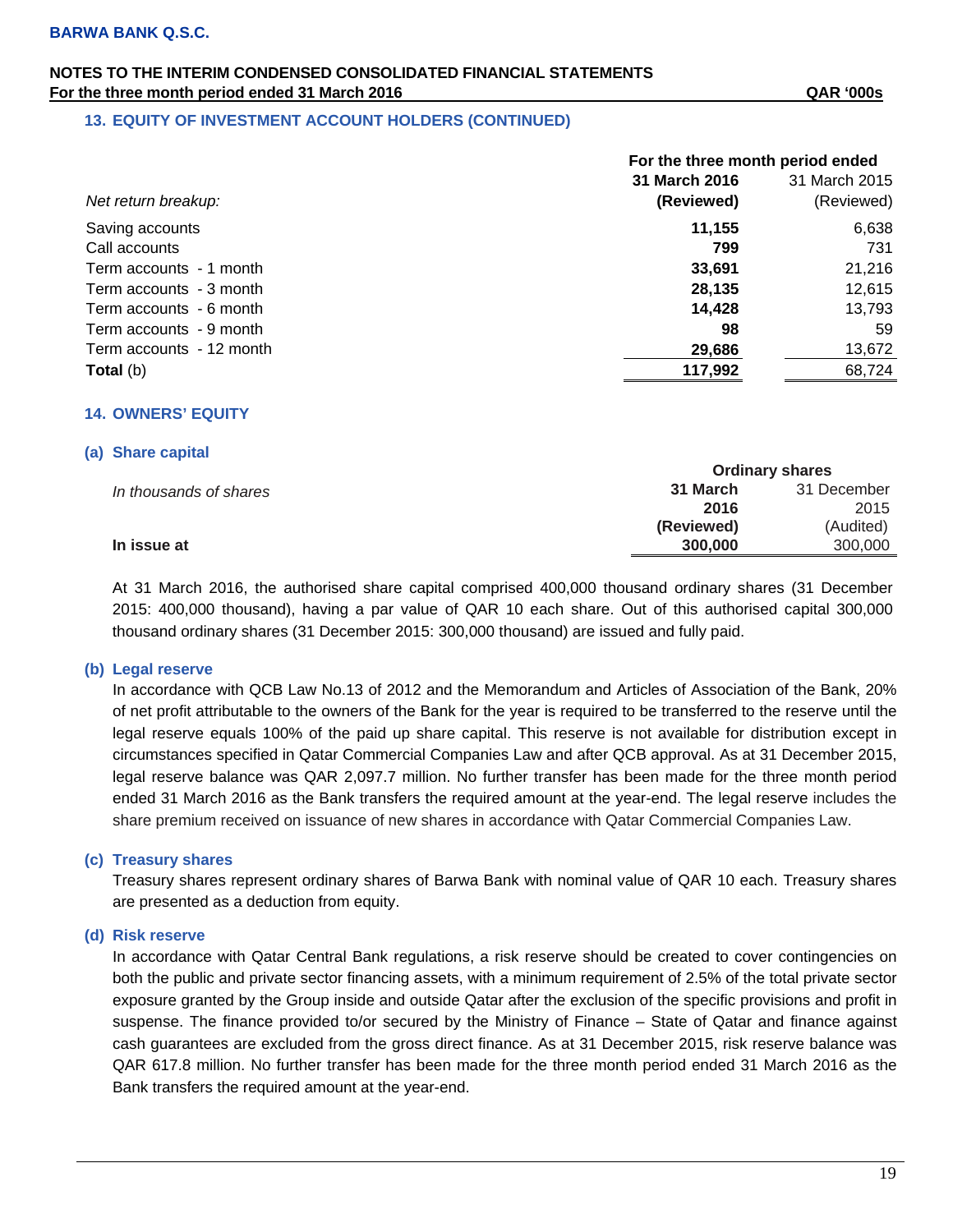### **13. EQUITY OF INVESTMENT ACCOUNT HOLDERS (CONTINUED)**

|                          | For the three month period ended |               |  |
|--------------------------|----------------------------------|---------------|--|
|                          | 31 March 2016                    | 31 March 2015 |  |
| Net return breakup:      | (Reviewed)                       | (Reviewed)    |  |
| Saving accounts          | 11,155                           | 6,638         |  |
| Call accounts            | 799                              | 731           |  |
| Term accounts - 1 month  | 33,691                           | 21,216        |  |
| Term accounts - 3 month  | 28,135                           | 12,615        |  |
| Term accounts - 6 month  | 14,428                           | 13,793        |  |
| Term accounts - 9 month  | 98                               | 59            |  |
| Term accounts - 12 month | 29,686                           | 13,672        |  |
| <b>Total</b> (b)         | 117,992                          | 68,724        |  |

### **14. OWNERS' EQUITY**

#### **(a) Share capital**

|                        |            | <b>Ordinary shares</b> |  |
|------------------------|------------|------------------------|--|
| In thousands of shares | 31 March   | 31 December            |  |
|                        | 2016       | 2015                   |  |
|                        | (Reviewed) | (Audited)              |  |
| In issue at            | 300,000    | 300,000                |  |

At 31 March 2016, the authorised share capital comprised 400,000 thousand ordinary shares (31 December 2015: 400,000 thousand), having a par value of QAR 10 each share. Out of this authorised capital 300,000 thousand ordinary shares (31 December 2015: 300,000 thousand) are issued and fully paid.

### **(b) Legal reserve**

In accordance with QCB Law No.13 of 2012 and the Memorandum and Articles of Association of the Bank, 20% of net profit attributable to the owners of the Bank for the year is required to be transferred to the reserve until the legal reserve equals 100% of the paid up share capital. This reserve is not available for distribution except in circumstances specified in Qatar Commercial Companies Law and after QCB approval. As at 31 December 2015, legal reserve balance was QAR 2,097.7 million. No further transfer has been made for the three month period ended 31 March 2016 as the Bank transfers the required amount at the year-end. The legal reserve includes the share premium received on issuance of new shares in accordance with Qatar Commercial Companies Law.

### **(c) Treasury shares**

Treasury shares represent ordinary shares of Barwa Bank with nominal value of QAR 10 each. Treasury shares are presented as a deduction from equity.

#### **(d) Risk reserve**

In accordance with Qatar Central Bank regulations, a risk reserve should be created to cover contingencies on both the public and private sector financing assets, with a minimum requirement of 2.5% of the total private sector exposure granted by the Group inside and outside Qatar after the exclusion of the specific provisions and profit in suspense. The finance provided to/or secured by the Ministry of Finance – State of Qatar and finance against cash guarantees are excluded from the gross direct finance. As at 31 December 2015, risk reserve balance was QAR 617.8 million. No further transfer has been made for the three month period ended 31 March 2016 as the Bank transfers the required amount at the year-end.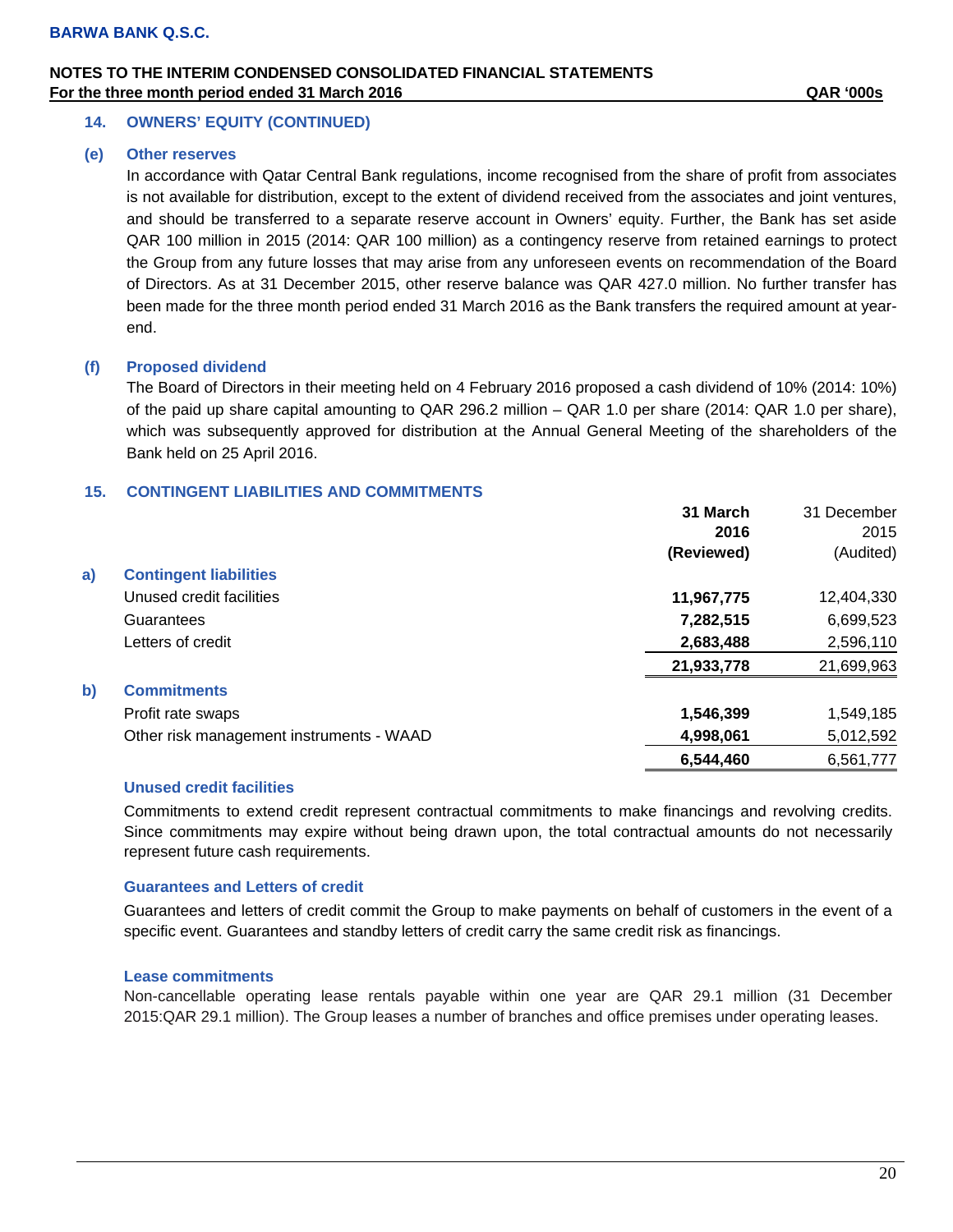### **14. OWNERS' EQUITY (CONTINUED)**

#### **(e) Other reserves**

In accordance with Qatar Central Bank regulations, income recognised from the share of profit from associates is not available for distribution, except to the extent of dividend received from the associates and joint ventures, and should be transferred to a separate reserve account in Owners' equity. Further, the Bank has set aside QAR 100 million in 2015 (2014: QAR 100 million) as a contingency reserve from retained earnings to protect the Group from any future losses that may arise from any unforeseen events on recommendation of the Board of Directors. As at 31 December 2015, other reserve balance was QAR 427.0 million. No further transfer has been made for the three month period ended 31 March 2016 as the Bank transfers the required amount at yearend.

### **(f) Proposed dividend**

The Board of Directors in their meeting held on 4 February 2016 proposed a cash dividend of 10% (2014: 10%) of the paid up share capital amounting to QAR 296.2 million – QAR 1.0 per share (2014: QAR 1.0 per share), which was subsequently approved for distribution at the Annual General Meeting of the shareholders of the Bank held on 25 April 2016.

### **15. CONTINGENT LIABILITIES AND COMMITMENTS**

|              |                                          | 31 March   | 31 December |
|--------------|------------------------------------------|------------|-------------|
|              |                                          | 2016       | 2015        |
|              |                                          | (Reviewed) | (Audited)   |
| a)           | <b>Contingent liabilities</b>            |            |             |
|              | Unused credit facilities                 | 11,967,775 | 12,404,330  |
|              | Guarantees                               | 7,282,515  | 6,699,523   |
|              | Letters of credit                        | 2,683,488  | 2,596,110   |
|              |                                          | 21,933,778 | 21,699,963  |
| $\mathbf{b}$ | <b>Commitments</b>                       |            |             |
|              | Profit rate swaps                        | 1,546,399  | 1,549,185   |
|              | Other risk management instruments - WAAD | 4,998,061  | 5,012,592   |
|              |                                          | 6,544,460  | 6,561,777   |

### **Unused credit facilities**

Commitments to extend credit represent contractual commitments to make financings and revolving credits. Since commitments may expire without being drawn upon, the total contractual amounts do not necessarily represent future cash requirements.

### **Guarantees and Letters of credit**

Guarantees and letters of credit commit the Group to make payments on behalf of customers in the event of a specific event. Guarantees and standby letters of credit carry the same credit risk as financings.

#### **Lease commitments**

Non-cancellable operating lease rentals payable within one year are QAR 29.1 million (31 December 2015:QAR 29.1 million). The Group leases a number of branches and office premises under operating leases.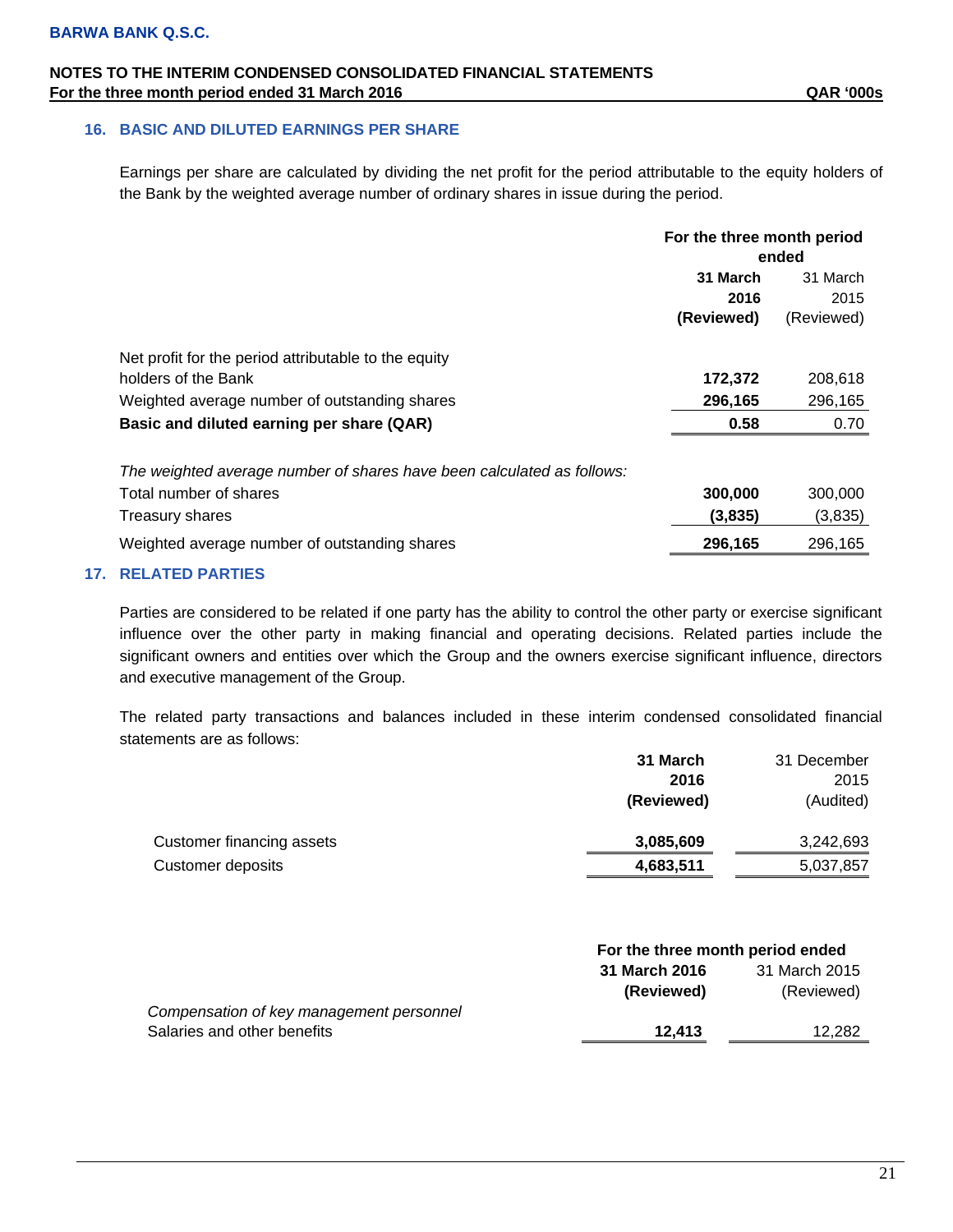### **16. BASIC AND DILUTED EARNINGS PER SHARE**

Earnings per share are calculated by dividing the net profit for the period attributable to the equity holders of the Bank by the weighted average number of ordinary shares in issue during the period.

|                                                                        | For the three month period |            |
|------------------------------------------------------------------------|----------------------------|------------|
|                                                                        | ended                      |            |
|                                                                        | 31 March                   | 31 March   |
|                                                                        | 2016                       | 2015       |
|                                                                        | (Reviewed)                 | (Reviewed) |
| Net profit for the period attributable to the equity                   |                            |            |
| holders of the Bank                                                    | 172,372                    | 208,618    |
| Weighted average number of outstanding shares                          | 296,165                    | 296,165    |
| Basic and diluted earning per share (QAR)                              | 0.58                       | 0.70       |
| The weighted average number of shares have been calculated as follows: |                            |            |
| Total number of shares                                                 | 300,000                    | 300,000    |
| Treasury shares                                                        | (3,835)                    | (3,835)    |
| Weighted average number of outstanding shares                          | 296,165                    | 296,165    |

### **17. RELATED PARTIES**

Parties are considered to be related if one party has the ability to control the other party or exercise significant influence over the other party in making financial and operating decisions. Related parties include the significant owners and entities over which the Group and the owners exercise significant influence, directors and executive management of the Group.

The related party transactions and balances included in these interim condensed consolidated financial statements are as follows:

|                           | 31 March   | 31 December |
|---------------------------|------------|-------------|
|                           | 2016       | 2015        |
|                           | (Reviewed) | (Audited)   |
| Customer financing assets | 3,085,609  | 3,242,693   |
| Customer deposits         | 4,683,511  | 5,037,857   |

|                                          | For the three month period ended |               |  |
|------------------------------------------|----------------------------------|---------------|--|
|                                          | 31 March 2016                    | 31 March 2015 |  |
|                                          | (Reviewed)                       | (Reviewed)    |  |
| Compensation of key management personnel |                                  |               |  |
| Salaries and other benefits              | 12.413                           | 12,282        |  |